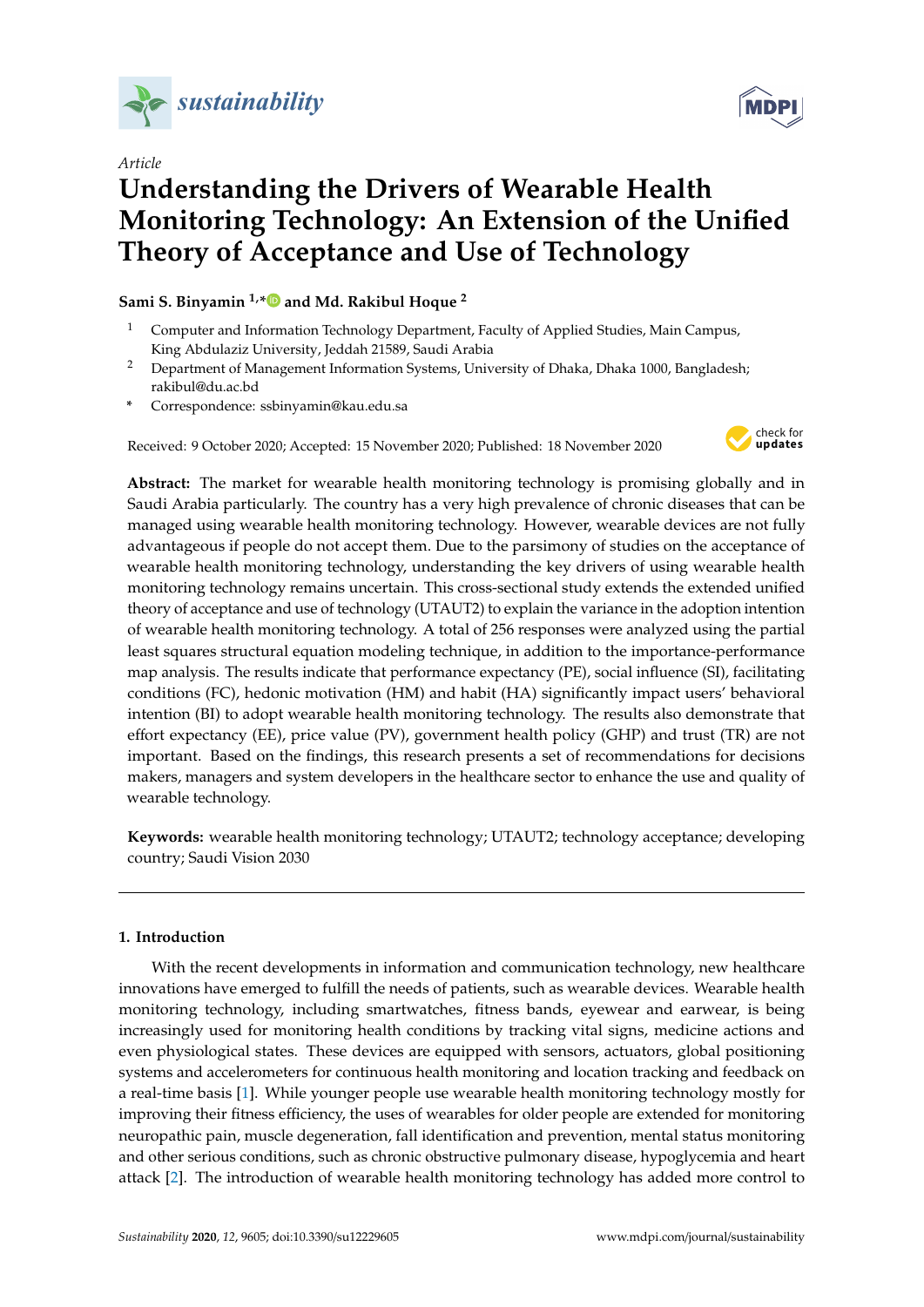

*Article*

# **Understanding the Drivers of Wearable Health Monitoring Technology: An Extension of the Unified Theory of Acceptance and Use of Technology**

# **Sami S. Binyamin 1,[\\*](https://orcid.org/0000-0002-1352-2698) and Md. Rakibul Hoque <sup>2</sup>**

- <sup>1</sup> Computer and Information Technology Department, Faculty of Applied Studies, Main Campus, King Abdulaziz University, Jeddah 21589, Saudi Arabia
- <sup>2</sup> Department of Management Information Systems, University of Dhaka, Dhaka 1000, Bangladesh; rakibul@du.ac.bd
- **\*** Correspondence: ssbinyamin@kau.edu.sa

Received: 9 October 2020; Accepted: 15 November 2020; Published: 18 November 2020



**Abstract:** The market for wearable health monitoring technology is promising globally and in Saudi Arabia particularly. The country has a very high prevalence of chronic diseases that can be managed using wearable health monitoring technology. However, wearable devices are not fully advantageous if people do not accept them. Due to the parsimony of studies on the acceptance of wearable health monitoring technology, understanding the key drivers of using wearable health monitoring technology remains uncertain. This cross-sectional study extends the extended unified theory of acceptance and use of technology (UTAUT2) to explain the variance in the adoption intention of wearable health monitoring technology. A total of 256 responses were analyzed using the partial least squares structural equation modeling technique, in addition to the importance-performance map analysis. The results indicate that performance expectancy (PE), social influence (SI), facilitating conditions (FC), hedonic motivation (HM) and habit (HA) significantly impact users' behavioral intention (BI) to adopt wearable health monitoring technology. The results also demonstrate that effort expectancy (EE), price value (PV), government health policy (GHP) and trust (TR) are not important. Based on the findings, this research presents a set of recommendations for decisions makers, managers and system developers in the healthcare sector to enhance the use and quality of wearable technology.

**Keywords:** wearable health monitoring technology; UTAUT2; technology acceptance; developing country; Saudi Vision 2030

# **1. Introduction**

With the recent developments in information and communication technology, new healthcare innovations have emerged to fulfill the needs of patients, such as wearable devices. Wearable health monitoring technology, including smartwatches, fitness bands, eyewear and earwear, is being increasingly used for monitoring health conditions by tracking vital signs, medicine actions and even physiological states. These devices are equipped with sensors, actuators, global positioning systems and accelerometers for continuous health monitoring and location tracking and feedback on a real-time basis [\[1\]](#page-16-0). While younger people use wearable health monitoring technology mostly for improving their fitness efficiency, the uses of wearables for older people are extended for monitoring neuropathic pain, muscle degeneration, fall identification and prevention, mental status monitoring and other serious conditions, such as chronic obstructive pulmonary disease, hypoglycemia and heart attack [\[2\]](#page-16-1). The introduction of wearable health monitoring technology has added more control to

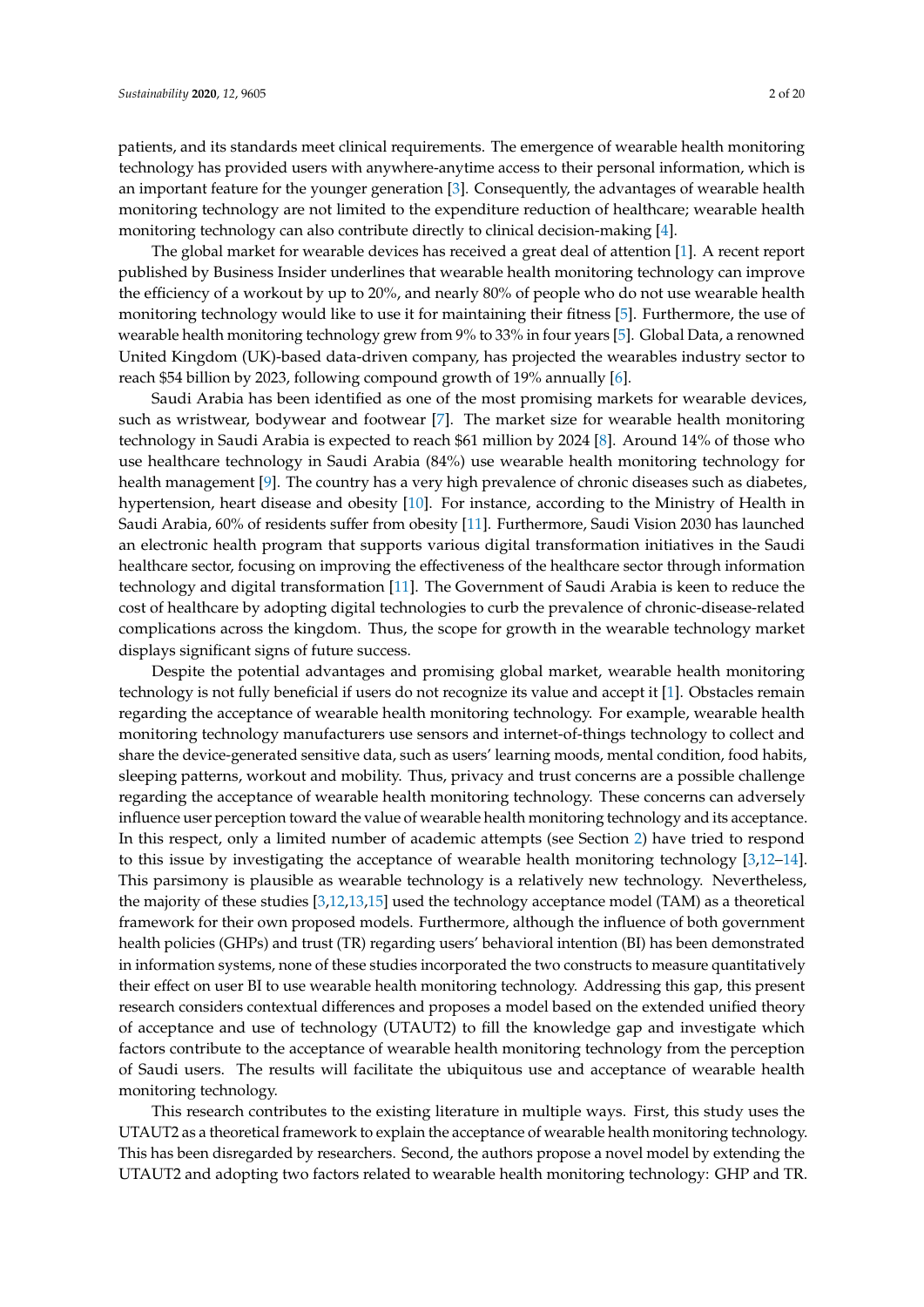patients, and its standards meet clinical requirements. The emergence of wearable health monitoring technology has provided users with anywhere-anytime access to their personal information, which is an important feature for the younger generation [\[3\]](#page-16-2). Consequently, the advantages of wearable health monitoring technology are not limited to the expenditure reduction of healthcare; wearable health monitoring technology can also contribute directly to clinical decision-making [\[4\]](#page-17-0).

The global market for wearable devices has received a great deal of attention [\[1\]](#page-16-0). A recent report published by Business Insider underlines that wearable health monitoring technology can improve the efficiency of a workout by up to 20%, and nearly 80% of people who do not use wearable health monitoring technology would like to use it for maintaining their fitness [\[5\]](#page-17-1). Furthermore, the use of wearable health monitoring technology grew from 9% to 33% in four years [\[5\]](#page-17-1). Global Data, a renowned United Kingdom (UK)-based data-driven company, has projected the wearables industry sector to reach \$54 billion by 2023, following compound growth of 19% annually [\[6\]](#page-17-2).

Saudi Arabia has been identified as one of the most promising markets for wearable devices, such as wristwear, bodywear and footwear [\[7\]](#page-17-3). The market size for wearable health monitoring technology in Saudi Arabia is expected to reach \$61 million by 2024 [\[8\]](#page-17-4). Around 14% of those who use healthcare technology in Saudi Arabia (84%) use wearable health monitoring technology for health management [\[9\]](#page-17-5). The country has a very high prevalence of chronic diseases such as diabetes, hypertension, heart disease and obesity [\[10\]](#page-17-6). For instance, according to the Ministry of Health in Saudi Arabia, 60% of residents suffer from obesity [\[11\]](#page-17-7). Furthermore, Saudi Vision 2030 has launched an electronic health program that supports various digital transformation initiatives in the Saudi healthcare sector, focusing on improving the effectiveness of the healthcare sector through information technology and digital transformation [\[11\]](#page-17-7). The Government of Saudi Arabia is keen to reduce the cost of healthcare by adopting digital technologies to curb the prevalence of chronic-disease-related complications across the kingdom. Thus, the scope for growth in the wearable technology market displays significant signs of future success.

Despite the potential advantages and promising global market, wearable health monitoring technology is not fully beneficial if users do not recognize its value and accept it [\[1\]](#page-16-0). Obstacles remain regarding the acceptance of wearable health monitoring technology. For example, wearable health monitoring technology manufacturers use sensors and internet-of-things technology to collect and share the device-generated sensitive data, such as users' learning moods, mental condition, food habits, sleeping patterns, workout and mobility. Thus, privacy and trust concerns are a possible challenge regarding the acceptance of wearable health monitoring technology. These concerns can adversely influence user perception toward the value of wearable health monitoring technology and its acceptance. In this respect, only a limited number of academic attempts (see Section [2\)](#page-2-0) have tried to respond to this issue by investigating the acceptance of wearable health monitoring technology [\[3,](#page-16-2)[12–](#page-17-8)[14\]](#page-17-9). This parsimony is plausible as wearable technology is a relatively new technology. Nevertheless, the majority of these studies [\[3,](#page-16-2)[12,](#page-17-8)[13,](#page-17-10)[15\]](#page-17-11) used the technology acceptance model (TAM) as a theoretical framework for their own proposed models. Furthermore, although the influence of both government health policies (GHPs) and trust (TR) regarding users' behavioral intention (BI) has been demonstrated in information systems, none of these studies incorporated the two constructs to measure quantitatively their effect on user BI to use wearable health monitoring technology. Addressing this gap, this present research considers contextual differences and proposes a model based on the extended unified theory of acceptance and use of technology (UTAUT2) to fill the knowledge gap and investigate which factors contribute to the acceptance of wearable health monitoring technology from the perception of Saudi users. The results will facilitate the ubiquitous use and acceptance of wearable health monitoring technology.

This research contributes to the existing literature in multiple ways. First, this study uses the UTAUT2 as a theoretical framework to explain the acceptance of wearable health monitoring technology. This has been disregarded by researchers. Second, the authors propose a novel model by extending the UTAUT2 and adopting two factors related to wearable health monitoring technology: GHP and TR.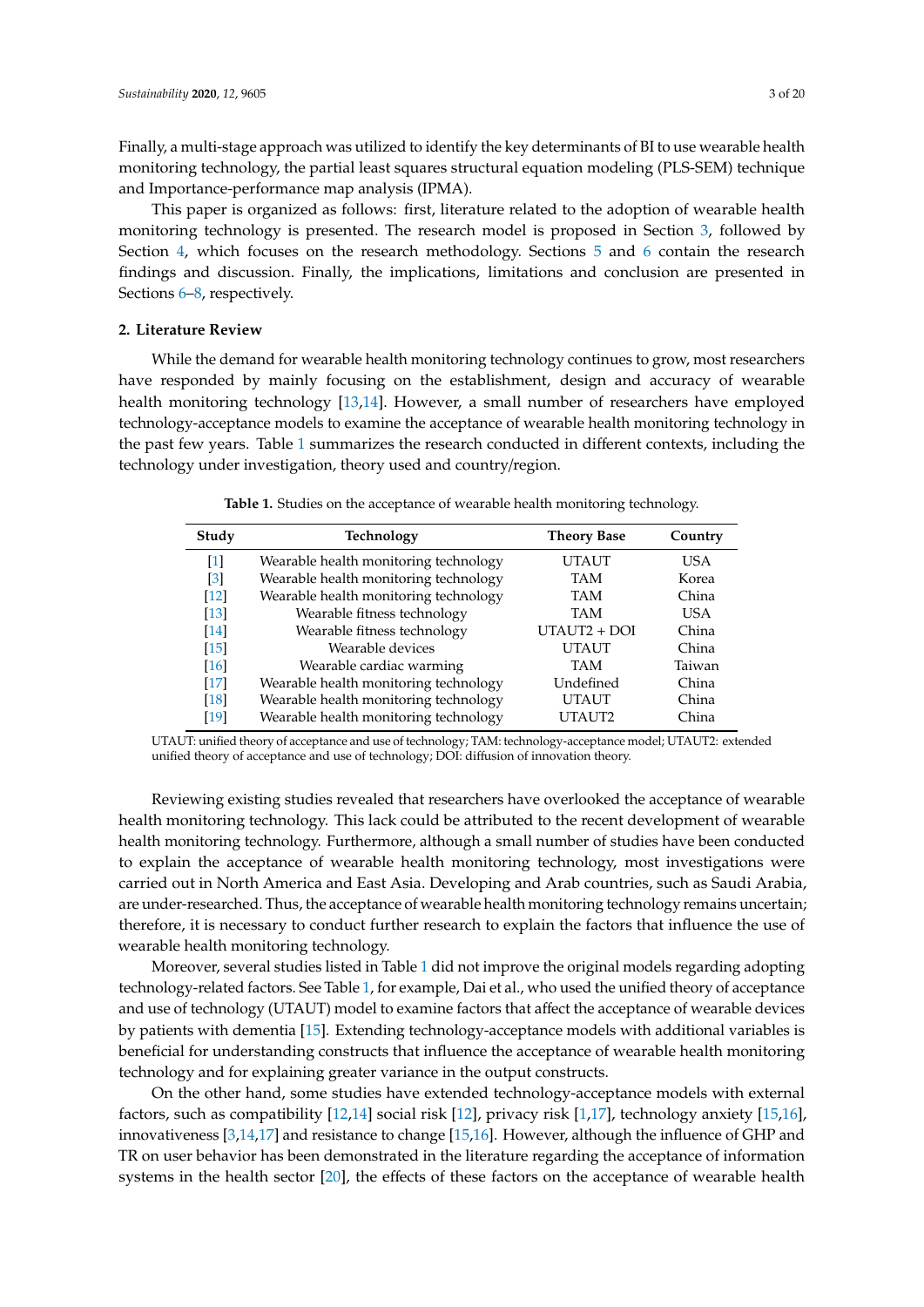Finally, a multi-stage approach was utilized to identify the key determinants of BI to use wearable health monitoring technology, the partial least squares structural equation modeling (PLS-SEM) technique and Importance-performance map analysis (IPMA).

This paper is organized as follows: first, literature related to the adoption of wearable health monitoring technology is presented. The research model is proposed in Section [3,](#page-3-0) followed by Section [4,](#page-6-0) which focuses on the research methodology. Sections [5](#page-8-0) and [6](#page-11-0) contain the research findings and discussion. Finally, the implications, limitations and conclusion are presented in Sections [6](#page-11-0)[–8,](#page-15-0) respectively.

# <span id="page-2-0"></span>**2. Literature Review**

While the demand for wearable health monitoring technology continues to grow, most researchers have responded by mainly focusing on the establishment, design and accuracy of wearable health monitoring technology [\[13](#page-17-10)[,14\]](#page-17-9). However, a small number of researchers have employed technology-acceptance models to examine the acceptance of wearable health monitoring technology in the past few years. Table [1](#page-2-1) summarizes the research conducted in different contexts, including the technology under investigation, theory used and country/region.

**Table 1.** Studies on the acceptance of wearable health monitoring technology.

<span id="page-2-1"></span>

| Study              | <b>Technology</b>                     | <b>Theory Base</b> | Country    |
|--------------------|---------------------------------------|--------------------|------------|
| [1]                | Wearable health monitoring technology | <b>UTAUT</b>       | USA        |
| $\left[3\right]$   | Wearable health monitoring technology | <b>TAM</b>         | Korea      |
| $\lceil 12 \rceil$ | Wearable health monitoring technology | TAM                | China      |
| $[13]$             | Wearable fitness technology           | <b>TAM</b>         | <b>USA</b> |
| [14]               | Wearable fitness technology           | UTAUT2 + DOI       | China      |
| [15]               | Wearable devices                      | <b>UTAUT</b>       | China      |
| $\lceil 16 \rceil$ | Wearable cardiac warming              | TAM                | Taiwan     |
| [17]               | Wearable health monitoring technology | Undefined          | China      |
| $[18]$             | Wearable health monitoring technology | <b>UTAUT</b>       | China      |
| [19]               | Wearable health monitoring technology | UTAUT2             | China      |

UTAUT: unified theory of acceptance and use of technology; TAM: technology-acceptance model; UTAUT2: extended unified theory of acceptance and use of technology; DOI: diffusion of innovation theory.

Reviewing existing studies revealed that researchers have overlooked the acceptance of wearable health monitoring technology. This lack could be attributed to the recent development of wearable health monitoring technology. Furthermore, although a small number of studies have been conducted to explain the acceptance of wearable health monitoring technology, most investigations were carried out in North America and East Asia. Developing and Arab countries, such as Saudi Arabia, are under-researched. Thus, the acceptance of wearable health monitoring technology remains uncertain; therefore, it is necessary to conduct further research to explain the factors that influence the use of wearable health monitoring technology.

Moreover, several studies listed in Table [1](#page-2-1) did not improve the original models regarding adopting technology-related factors. See Table [1,](#page-2-1) for example, Dai et al., who used the unified theory of acceptance and use of technology (UTAUT) model to examine factors that affect the acceptance of wearable devices by patients with dementia [\[15\]](#page-17-11). Extending technology-acceptance models with additional variables is beneficial for understanding constructs that influence the acceptance of wearable health monitoring technology and for explaining greater variance in the output constructs.

On the other hand, some studies have extended technology-acceptance models with external factors, such as compatibility [\[12](#page-17-8)[,14\]](#page-17-9) social risk [\[12\]](#page-17-8), privacy risk [\[1](#page-16-0)[,17\]](#page-17-13), technology anxiety [\[15,](#page-17-11)[16\]](#page-17-12), innovativeness [\[3](#page-16-2)[,14,](#page-17-9)[17\]](#page-17-13) and resistance to change [\[15,](#page-17-11)[16\]](#page-17-12). However, although the influence of GHP and TR on user behavior has been demonstrated in the literature regarding the acceptance of information systems in the health sector [\[20\]](#page-17-16), the effects of these factors on the acceptance of wearable health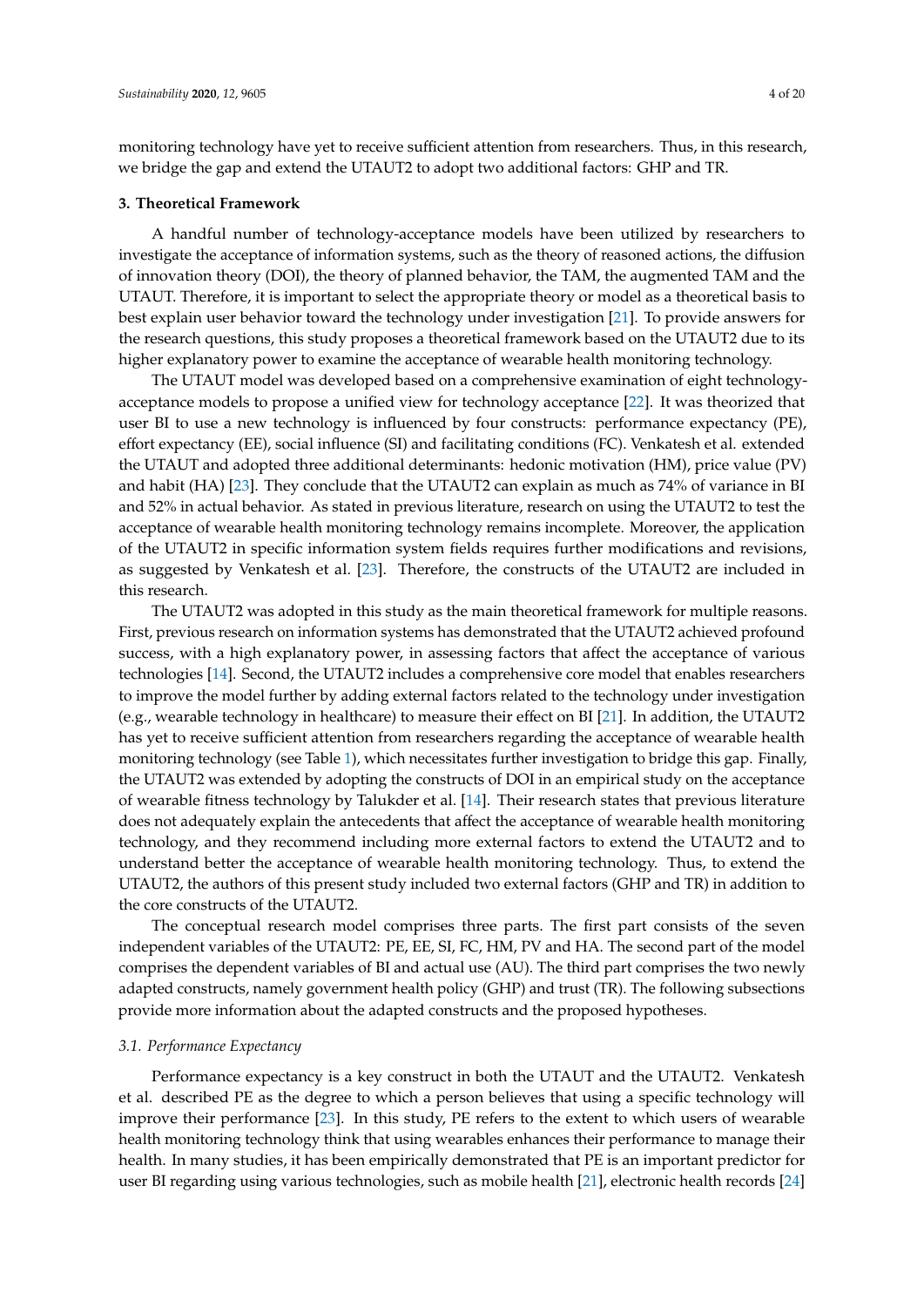monitoring technology have yet to receive sufficient attention from researchers. Thus, in this research, we bridge the gap and extend the UTAUT2 to adopt two additional factors: GHP and TR.

#### <span id="page-3-0"></span>**3. Theoretical Framework**

A handful number of technology-acceptance models have been utilized by researchers to investigate the acceptance of information systems, such as the theory of reasoned actions, the diffusion of innovation theory (DOI), the theory of planned behavior, the TAM, the augmented TAM and the UTAUT. Therefore, it is important to select the appropriate theory or model as a theoretical basis to best explain user behavior toward the technology under investigation [\[21\]](#page-17-17). To provide answers for the research questions, this study proposes a theoretical framework based on the UTAUT2 due to its higher explanatory power to examine the acceptance of wearable health monitoring technology.

The UTAUT model was developed based on a comprehensive examination of eight technologyacceptance models to propose a unified view for technology acceptance [\[22\]](#page-17-18). It was theorized that user BI to use a new technology is influenced by four constructs: performance expectancy (PE), effort expectancy (EE), social influence (SI) and facilitating conditions (FC). Venkatesh et al. extended the UTAUT and adopted three additional determinants: hedonic motivation (HM), price value (PV) and habit (HA) [\[23\]](#page-17-19). They conclude that the UTAUT2 can explain as much as 74% of variance in BI and 52% in actual behavior. As stated in previous literature, research on using the UTAUT2 to test the acceptance of wearable health monitoring technology remains incomplete. Moreover, the application of the UTAUT2 in specific information system fields requires further modifications and revisions, as suggested by Venkatesh et al. [\[23\]](#page-17-19). Therefore, the constructs of the UTAUT2 are included in this research.

The UTAUT2 was adopted in this study as the main theoretical framework for multiple reasons. First, previous research on information systems has demonstrated that the UTAUT2 achieved profound success, with a high explanatory power, in assessing factors that affect the acceptance of various technologies [\[14\]](#page-17-9). Second, the UTAUT2 includes a comprehensive core model that enables researchers to improve the model further by adding external factors related to the technology under investigation (e.g., wearable technology in healthcare) to measure their effect on BI [\[21\]](#page-17-17). In addition, the UTAUT2 has yet to receive sufficient attention from researchers regarding the acceptance of wearable health monitoring technology (see Table [1\)](#page-2-1), which necessitates further investigation to bridge this gap. Finally, the UTAUT2 was extended by adopting the constructs of DOI in an empirical study on the acceptance of wearable fitness technology by Talukder et al. [\[14\]](#page-17-9). Their research states that previous literature does not adequately explain the antecedents that affect the acceptance of wearable health monitoring technology, and they recommend including more external factors to extend the UTAUT2 and to understand better the acceptance of wearable health monitoring technology. Thus, to extend the UTAUT2, the authors of this present study included two external factors (GHP and TR) in addition to the core constructs of the UTAUT2.

The conceptual research model comprises three parts. The first part consists of the seven independent variables of the UTAUT2: PE, EE, SI, FC, HM, PV and HA. The second part of the model comprises the dependent variables of BI and actual use (AU). The third part comprises the two newly adapted constructs, namely government health policy (GHP) and trust (TR). The following subsections provide more information about the adapted constructs and the proposed hypotheses.

# *3.1. Performance Expectancy*

Performance expectancy is a key construct in both the UTAUT and the UTAUT2. Venkatesh et al. described PE as the degree to which a person believes that using a specific technology will improve their performance [\[23\]](#page-17-19). In this study, PE refers to the extent to which users of wearable health monitoring technology think that using wearables enhances their performance to manage their health. In many studies, it has been empirically demonstrated that PE is an important predictor for user BI regarding using various technologies, such as mobile health [\[21\]](#page-17-17), electronic health records [\[24\]](#page-17-20)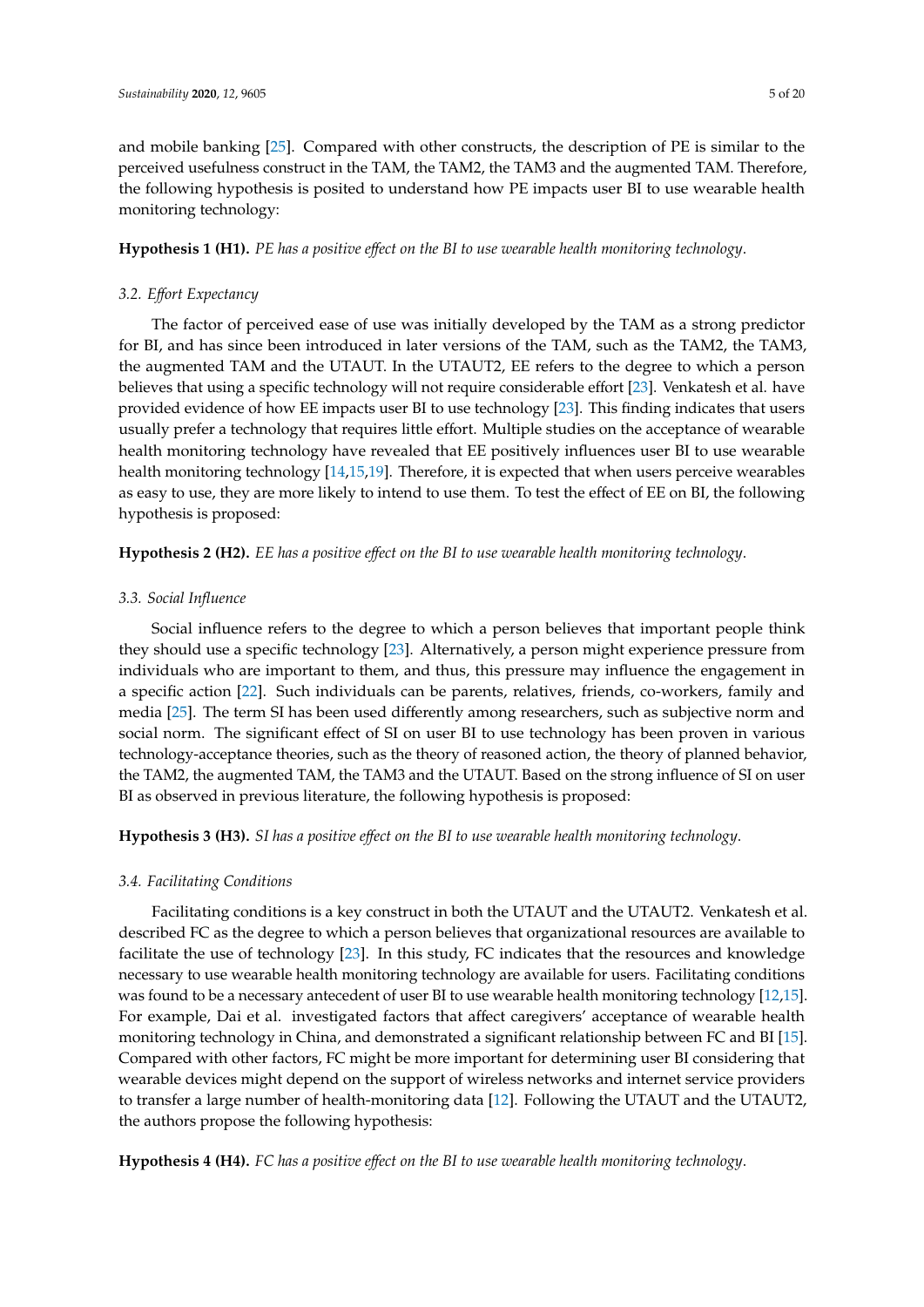and mobile banking [\[25\]](#page-17-21). Compared with other constructs, the description of PE is similar to the perceived usefulness construct in the TAM, the TAM2, the TAM3 and the augmented TAM. Therefore, the following hypothesis is posited to understand how PE impacts user BI to use wearable health monitoring technology:

# **Hypothesis 1 (H1).** *PE has a positive e*ff*ect on the BI to use wearable health monitoring technology*.

# *3.2. E*ff*ort Expectancy*

The factor of perceived ease of use was initially developed by the TAM as a strong predictor for BI, and has since been introduced in later versions of the TAM, such as the TAM2, the TAM3, the augmented TAM and the UTAUT. In the UTAUT2, EE refers to the degree to which a person believes that using a specific technology will not require considerable effort [\[23\]](#page-17-19). Venkatesh et al. have provided evidence of how EE impacts user BI to use technology [\[23\]](#page-17-19). This finding indicates that users usually prefer a technology that requires little effort. Multiple studies on the acceptance of wearable health monitoring technology have revealed that EE positively influences user BI to use wearable health monitoring technology [\[14,](#page-17-9)[15](#page-17-11)[,19\]](#page-17-15). Therefore, it is expected that when users perceive wearables as easy to use, they are more likely to intend to use them. To test the effect of EE on BI, the following hypothesis is proposed:

**Hypothesis 2 (H2).** *EE has a positive e*ff*ect on the BI to use wearable health monitoring technology*.

#### *3.3. Social Influence*

Social influence refers to the degree to which a person believes that important people think they should use a specific technology [\[23\]](#page-17-19). Alternatively, a person might experience pressure from individuals who are important to them, and thus, this pressure may influence the engagement in a specific action [\[22\]](#page-17-18). Such individuals can be parents, relatives, friends, co-workers, family and media [\[25\]](#page-17-21). The term SI has been used differently among researchers, such as subjective norm and social norm. The significant effect of SI on user BI to use technology has been proven in various technology-acceptance theories, such as the theory of reasoned action, the theory of planned behavior, the TAM2, the augmented TAM, the TAM3 and the UTAUT. Based on the strong influence of SI on user BI as observed in previous literature, the following hypothesis is proposed:

**Hypothesis 3 (H3).** *SI has a positive e*ff*ect on the BI to use wearable health monitoring technology*.

# *3.4. Facilitating Conditions*

Facilitating conditions is a key construct in both the UTAUT and the UTAUT2. Venkatesh et al. described FC as the degree to which a person believes that organizational resources are available to facilitate the use of technology [\[23\]](#page-17-19). In this study, FC indicates that the resources and knowledge necessary to use wearable health monitoring technology are available for users. Facilitating conditions was found to be a necessary antecedent of user BI to use wearable health monitoring technology [\[12](#page-17-8)[,15\]](#page-17-11). For example, Dai et al. investigated factors that affect caregivers' acceptance of wearable health monitoring technology in China, and demonstrated a significant relationship between FC and BI [\[15\]](#page-17-11). Compared with other factors, FC might be more important for determining user BI considering that wearable devices might depend on the support of wireless networks and internet service providers to transfer a large number of health-monitoring data [\[12\]](#page-17-8). Following the UTAUT and the UTAUT2, the authors propose the following hypothesis:

**Hypothesis 4 (H4).** *FC has a positive e*ff*ect on the BI to use wearable health monitoring technology*.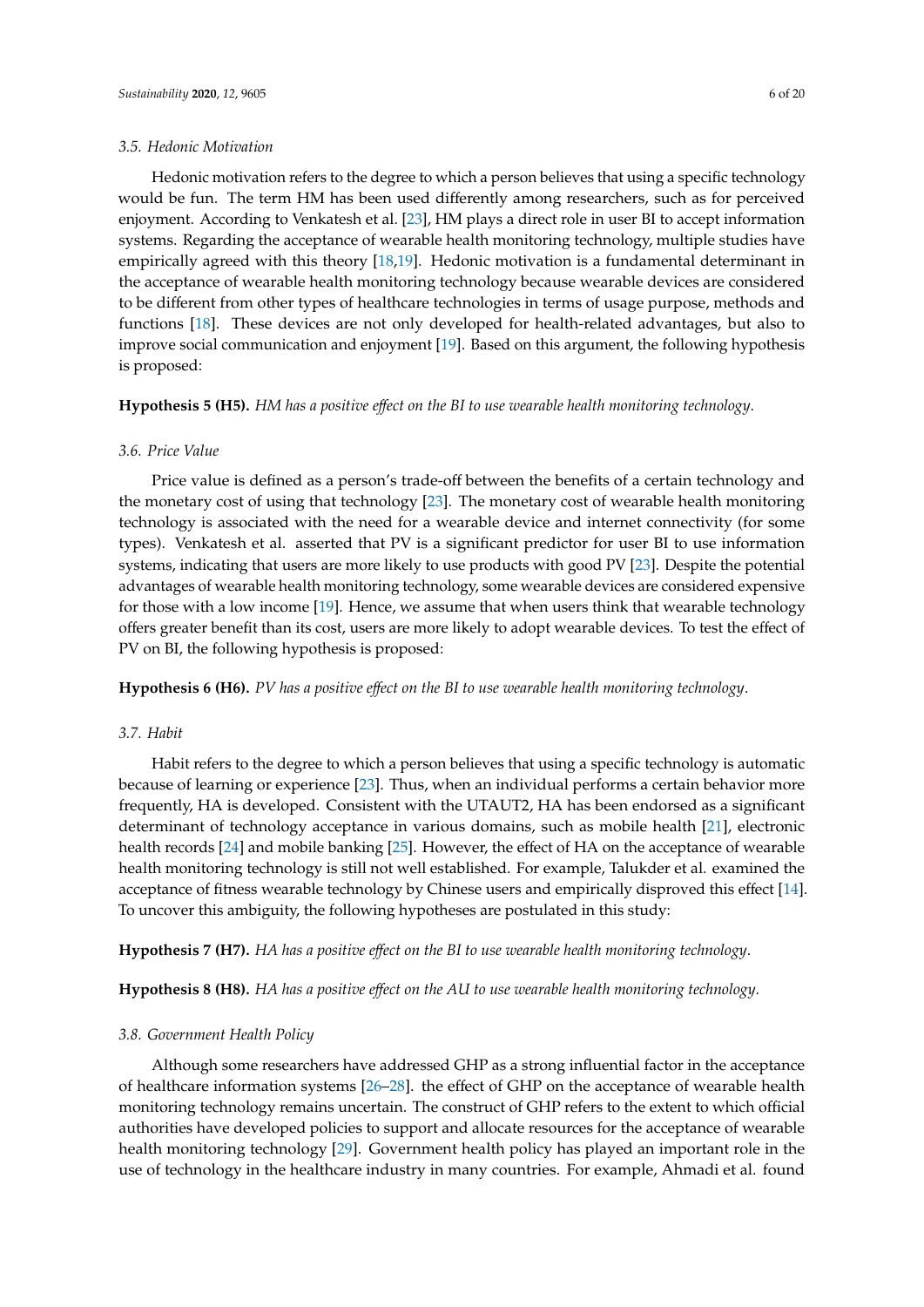#### *3.5. Hedonic Motivation*

Hedonic motivation refers to the degree to which a person believes that using a specific technology would be fun. The term HM has been used differently among researchers, such as for perceived enjoyment. According to Venkatesh et al. [\[23\]](#page-17-19), HM plays a direct role in user BI to accept information systems. Regarding the acceptance of wearable health monitoring technology, multiple studies have empirically agreed with this theory [\[18,](#page-17-14)[19\]](#page-17-15). Hedonic motivation is a fundamental determinant in the acceptance of wearable health monitoring technology because wearable devices are considered to be different from other types of healthcare technologies in terms of usage purpose, methods and functions [\[18\]](#page-17-14). These devices are not only developed for health-related advantages, but also to improve social communication and enjoyment [\[19\]](#page-17-15). Based on this argument, the following hypothesis is proposed:

**Hypothesis 5 (H5).** *HM has a positive e*ff*ect on the BI to use wearable health monitoring technology*.

# *3.6. Price Value*

Price value is defined as a person's trade-off between the benefits of a certain technology and the monetary cost of using that technology [\[23\]](#page-17-19). The monetary cost of wearable health monitoring technology is associated with the need for a wearable device and internet connectivity (for some types). Venkatesh et al. asserted that PV is a significant predictor for user BI to use information systems, indicating that users are more likely to use products with good PV [\[23\]](#page-17-19). Despite the potential advantages of wearable health monitoring technology, some wearable devices are considered expensive for those with a low income [\[19\]](#page-17-15). Hence, we assume that when users think that wearable technology offers greater benefit than its cost, users are more likely to adopt wearable devices. To test the effect of PV on BI, the following hypothesis is proposed:

**Hypothesis 6 (H6).** *PV has a positive e*ff*ect on the BI to use wearable health monitoring technology*.

#### *3.7. Habit*

Habit refers to the degree to which a person believes that using a specific technology is automatic because of learning or experience [\[23\]](#page-17-19). Thus, when an individual performs a certain behavior more frequently, HA is developed. Consistent with the UTAUT2, HA has been endorsed as a significant determinant of technology acceptance in various domains, such as mobile health [\[21\]](#page-17-17), electronic health records [\[24\]](#page-17-20) and mobile banking [\[25\]](#page-17-21). However, the effect of HA on the acceptance of wearable health monitoring technology is still not well established. For example, Talukder et al. examined the acceptance of fitness wearable technology by Chinese users and empirically disproved this effect [\[14\]](#page-17-9). To uncover this ambiguity, the following hypotheses are postulated in this study:

**Hypothesis 7 (H7).** *HA has a positive e*ff*ect on the BI to use wearable health monitoring technology*.

**Hypothesis 8 (H8).** *HA has a positive e*ff*ect on the AU to use wearable health monitoring technology*.

#### *3.8. Government Health Policy*

Although some researchers have addressed GHP as a strong influential factor in the acceptance of healthcare information systems [\[26](#page-18-0)[–28\]](#page-18-1). the effect of GHP on the acceptance of wearable health monitoring technology remains uncertain. The construct of GHP refers to the extent to which official authorities have developed policies to support and allocate resources for the acceptance of wearable health monitoring technology [\[29\]](#page-18-2). Government health policy has played an important role in the use of technology in the healthcare industry in many countries. For example, Ahmadi et al. found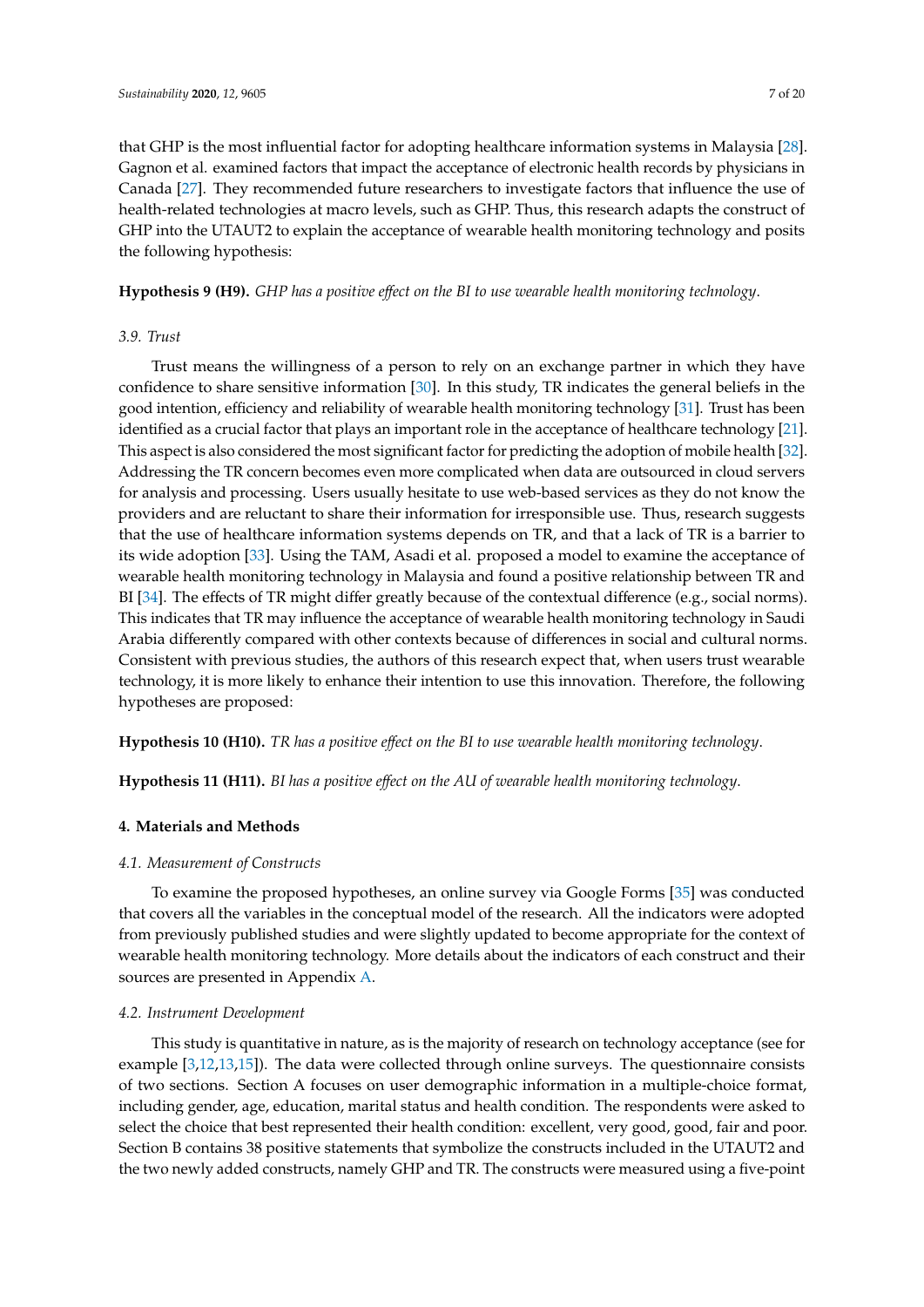that GHP is the most influential factor for adopting healthcare information systems in Malaysia [\[28\]](#page-18-1). Gagnon et al. examined factors that impact the acceptance of electronic health records by physicians in Canada [\[27\]](#page-18-3). They recommended future researchers to investigate factors that influence the use of health-related technologies at macro levels, such as GHP. Thus, this research adapts the construct of GHP into the UTAUT2 to explain the acceptance of wearable health monitoring technology and posits the following hypothesis:

**Hypothesis 9 (H9).** *GHP has a positive e*ff*ect on the BI to use wearable health monitoring technology*.

# *3.9. Trust*

Trust means the willingness of a person to rely on an exchange partner in which they have confidence to share sensitive information [\[30\]](#page-18-4). In this study, TR indicates the general beliefs in the good intention, efficiency and reliability of wearable health monitoring technology [\[31\]](#page-18-5). Trust has been identified as a crucial factor that plays an important role in the acceptance of healthcare technology [\[21\]](#page-17-17). This aspect is also considered the most significant factor for predicting the adoption of mobile health [\[32\]](#page-18-6). Addressing the TR concern becomes even more complicated when data are outsourced in cloud servers for analysis and processing. Users usually hesitate to use web-based services as they do not know the providers and are reluctant to share their information for irresponsible use. Thus, research suggests that the use of healthcare information systems depends on TR, and that a lack of TR is a barrier to its wide adoption [\[33\]](#page-18-7). Using the TAM, Asadi et al. proposed a model to examine the acceptance of wearable health monitoring technology in Malaysia and found a positive relationship between TR and BI [\[34\]](#page-18-8). The effects of TR might differ greatly because of the contextual difference (e.g., social norms). This indicates that TR may influence the acceptance of wearable health monitoring technology in Saudi Arabia differently compared with other contexts because of differences in social and cultural norms. Consistent with previous studies, the authors of this research expect that, when users trust wearable technology, it is more likely to enhance their intention to use this innovation. Therefore, the following hypotheses are proposed:

**Hypothesis 10 (H10).** *TR has a positive e*ff*ect on the BI to use wearable health monitoring technology*.

**Hypothesis 11 (H11).** *BI has a positive e*ff*ect on the AU of wearable health monitoring technology*.

# <span id="page-6-0"></span>**4. Materials and Methods**

#### *4.1. Measurement of Constructs*

To examine the proposed hypotheses, an online survey via Google Forms [\[35\]](#page-18-9) was conducted that covers all the variables in the conceptual model of the research. All the indicators were adopted from previously published studies and were slightly updated to become appropriate for the context of wearable health monitoring technology. More details about the indicators of each construct and their sources are presented in Appendix [A.](#page-15-1)

#### *4.2. Instrument Development*

This study is quantitative in nature, as is the majority of research on technology acceptance (see for example [\[3](#page-16-2)[,12](#page-17-8)[,13](#page-17-10)[,15\]](#page-17-11)). The data were collected through online surveys. The questionnaire consists of two sections. Section A focuses on user demographic information in a multiple-choice format, including gender, age, education, marital status and health condition. The respondents were asked to select the choice that best represented their health condition: excellent, very good, good, fair and poor. Section B contains 38 positive statements that symbolize the constructs included in the UTAUT2 and the two newly added constructs, namely GHP and TR. The constructs were measured using a five-point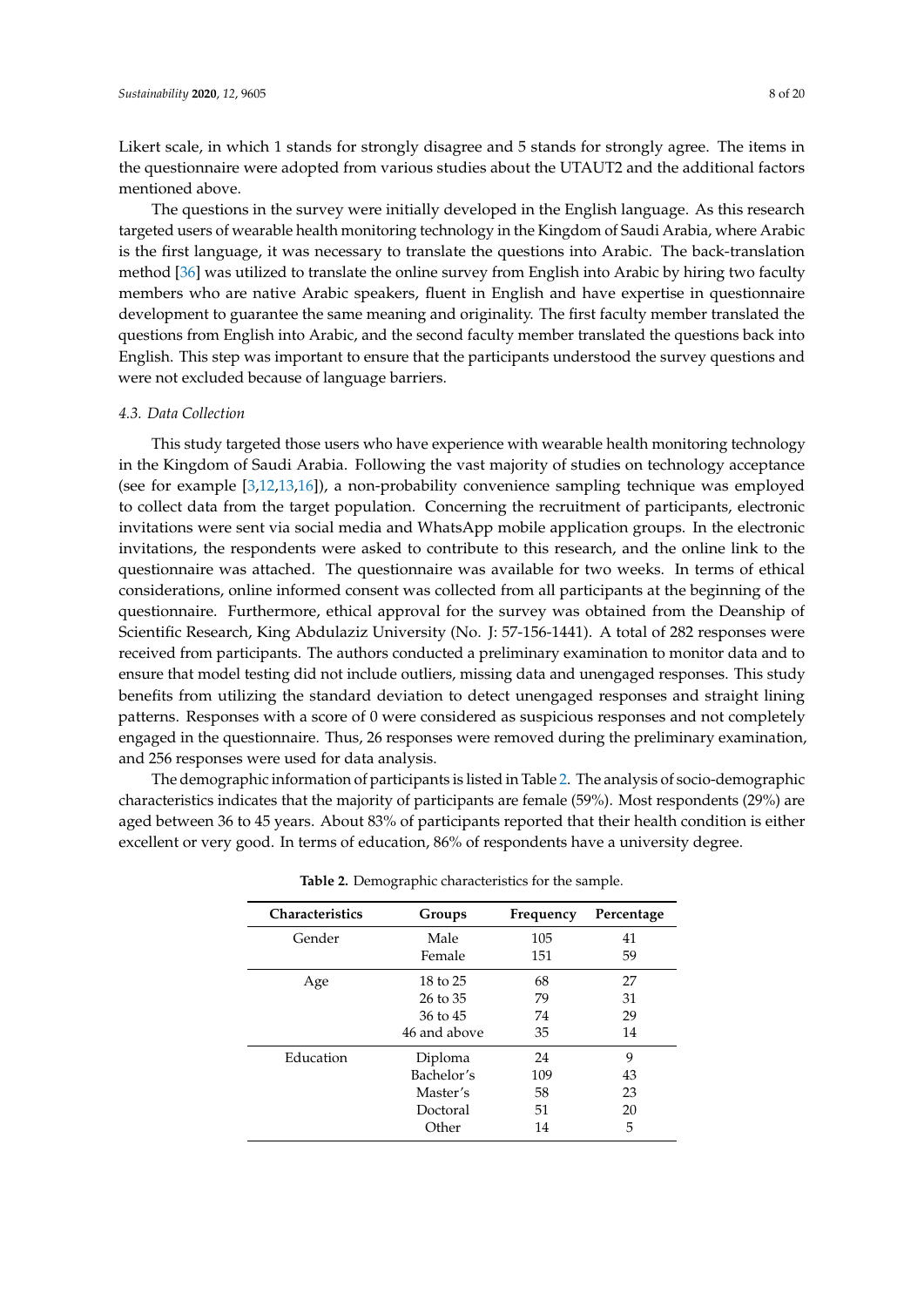Likert scale, in which 1 stands for strongly disagree and 5 stands for strongly agree. The items in the questionnaire were adopted from various studies about the UTAUT2 and the additional factors mentioned above.

The questions in the survey were initially developed in the English language. As this research targeted users of wearable health monitoring technology in the Kingdom of Saudi Arabia, where Arabic is the first language, it was necessary to translate the questions into Arabic. The back-translation method [\[36\]](#page-18-10) was utilized to translate the online survey from English into Arabic by hiring two faculty members who are native Arabic speakers, fluent in English and have expertise in questionnaire development to guarantee the same meaning and originality. The first faculty member translated the questions from English into Arabic, and the second faculty member translated the questions back into English. This step was important to ensure that the participants understood the survey questions and were not excluded because of language barriers.

## *4.3. Data Collection*

This study targeted those users who have experience with wearable health monitoring technology in the Kingdom of Saudi Arabia. Following the vast majority of studies on technology acceptance (see for example [\[3,](#page-16-2)[12,](#page-17-8)[13,](#page-17-10)[16\]](#page-17-12)), a non-probability convenience sampling technique was employed to collect data from the target population. Concerning the recruitment of participants, electronic invitations were sent via social media and WhatsApp mobile application groups. In the electronic invitations, the respondents were asked to contribute to this research, and the online link to the questionnaire was attached. The questionnaire was available for two weeks. In terms of ethical considerations, online informed consent was collected from all participants at the beginning of the questionnaire. Furthermore, ethical approval for the survey was obtained from the Deanship of Scientific Research, King Abdulaziz University (No. J: 57-156-1441). A total of 282 responses were received from participants. The authors conducted a preliminary examination to monitor data and to ensure that model testing did not include outliers, missing data and unengaged responses. This study benefits from utilizing the standard deviation to detect unengaged responses and straight lining patterns. Responses with a score of 0 were considered as suspicious responses and not completely engaged in the questionnaire. Thus, 26 responses were removed during the preliminary examination, and 256 responses were used for data analysis.

The demographic information of participants is listed in Table [2.](#page-8-1) The analysis of socio-demographic characteristics indicates that the majority of participants are female (59%). Most respondents (29%) are aged between 36 to 45 years. About 83% of participants reported that their health condition is either excellent or very good. In terms of education, 86% of respondents have a university degree.

| <b>Characteristics</b> | Groups              | Frequency | Percentage |
|------------------------|---------------------|-----------|------------|
| Gender                 | Male                | 105       | 41         |
|                        | Female              | 151       | 59         |
| Age                    | 18 to 25            | 68        | 27         |
|                        | $26 \text{ to } 35$ | 79        | 31         |
|                        | 36 to 45            | 74        | 29         |
|                        | 46 and above        | 35        | 14         |
| Education              | Diploma             | 24        | 9          |
|                        | Bachelor's          | 109       | 43         |
|                        | Master's            | 58        | 23         |
|                        | Doctoral            | 51        | 20         |
|                        | Other               | 14        | 5          |

**Table 2.** Demographic characteristics for the sample.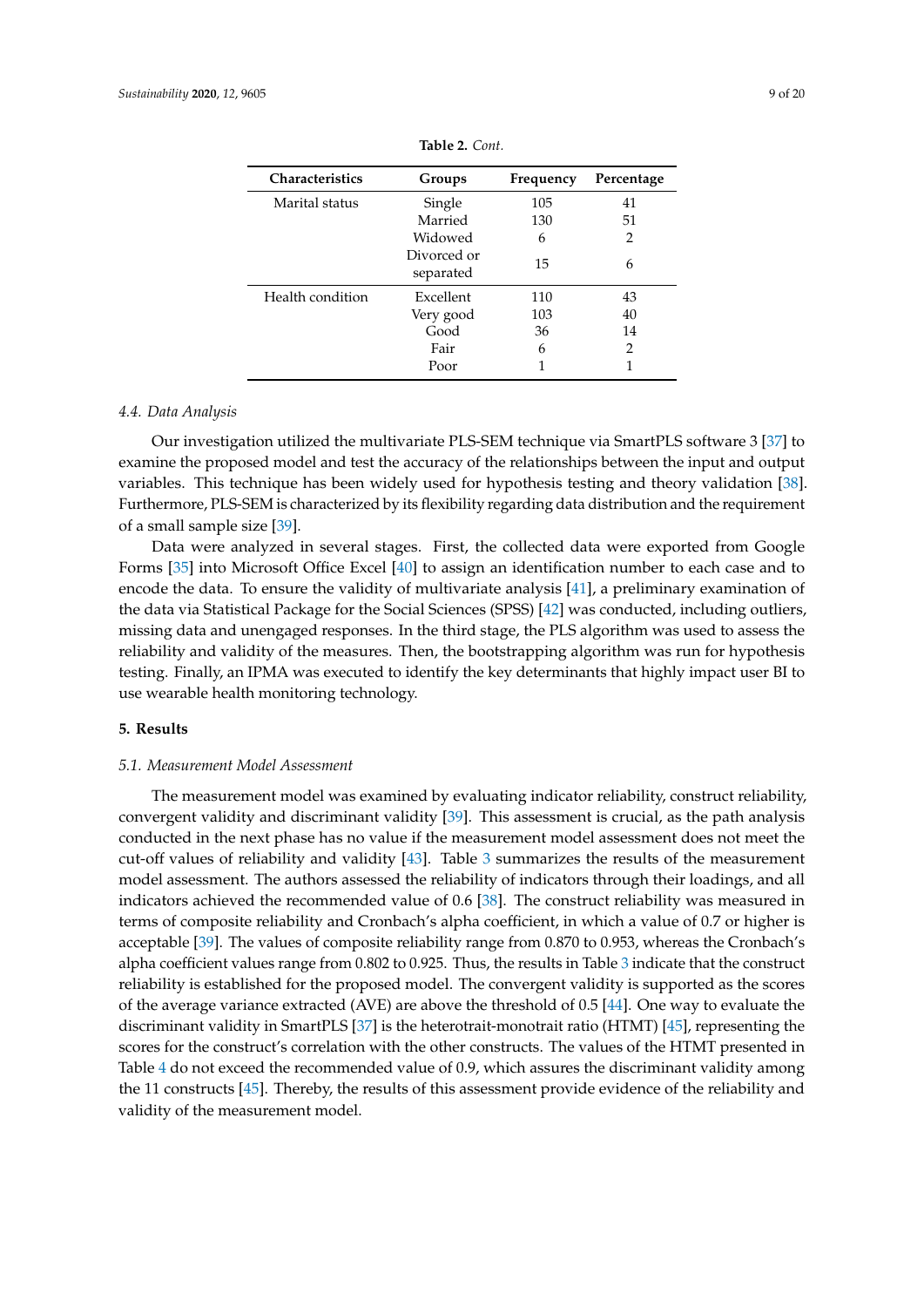<span id="page-8-1"></span>

| <b>Characteristics</b> | Groups                   | Frequency | Percentage |
|------------------------|--------------------------|-----------|------------|
| Marital status         | Single                   | 105       | 41         |
|                        | Married                  | 130       | 51         |
|                        | Widowed                  | 6         | 2          |
|                        | Divorced or<br>separated | 15        | 6          |
| Health condition       | Excellent                | 110       | 43         |
|                        | Very good                | 103       | 40         |
|                        | Good                     | 36        | 14         |
|                        | Fair                     | 6         | 2          |
|                        | Poor                     | 1         |            |

**Table 2.** *Cont.*

#### *4.4. Data Analysis*

Our investigation utilized the multivariate PLS-SEM technique via SmartPLS software 3 [\[37\]](#page-18-11) to examine the proposed model and test the accuracy of the relationships between the input and output variables. This technique has been widely used for hypothesis testing and theory validation [\[38\]](#page-18-12). Furthermore, PLS-SEM is characterized by its flexibility regarding data distribution and the requirement of a small sample size [\[39\]](#page-18-13).

Data were analyzed in several stages. First, the collected data were exported from Google Forms [\[35\]](#page-18-9) into Microsoft Office Excel [\[40\]](#page-18-14) to assign an identification number to each case and to encode the data. To ensure the validity of multivariate analysis [\[41\]](#page-18-15), a preliminary examination of the data via Statistical Package for the Social Sciences (SPSS) [\[42\]](#page-18-16) was conducted, including outliers, missing data and unengaged responses. In the third stage, the PLS algorithm was used to assess the reliability and validity of the measures. Then, the bootstrapping algorithm was run for hypothesis testing. Finally, an IPMA was executed to identify the key determinants that highly impact user BI to use wearable health monitoring technology.

# <span id="page-8-0"></span>**5. Results**

#### *5.1. Measurement Model Assessment*

The measurement model was examined by evaluating indicator reliability, construct reliability, convergent validity and discriminant validity [\[39\]](#page-18-13). This assessment is crucial, as the path analysis conducted in the next phase has no value if the measurement model assessment does not meet the cut-off values of reliability and validity [\[43\]](#page-18-17). Table [3](#page-9-0) summarizes the results of the measurement model assessment. The authors assessed the reliability of indicators through their loadings, and all indicators achieved the recommended value of 0.6 [\[38\]](#page-18-12). The construct reliability was measured in terms of composite reliability and Cronbach's alpha coefficient, in which a value of 0.7 or higher is acceptable [\[39\]](#page-18-13). The values of composite reliability range from 0.870 to 0.953, whereas the Cronbach's alpha coefficient values range from 0.802 to 0.925. Thus, the results in Table [3](#page-9-0) indicate that the construct reliability is established for the proposed model. The convergent validity is supported as the scores of the average variance extracted (AVE) are above the threshold of 0.5 [\[44\]](#page-18-18). One way to evaluate the discriminant validity in SmartPLS [\[37\]](#page-18-11) is the heterotrait-monotrait ratio (HTMT) [\[45\]](#page-18-19), representing the scores for the construct's correlation with the other constructs. The values of the HTMT presented in Table [4](#page-9-1) do not exceed the recommended value of 0.9, which assures the discriminant validity among the 11 constructs [\[45\]](#page-18-19). Thereby, the results of this assessment provide evidence of the reliability and validity of the measurement model.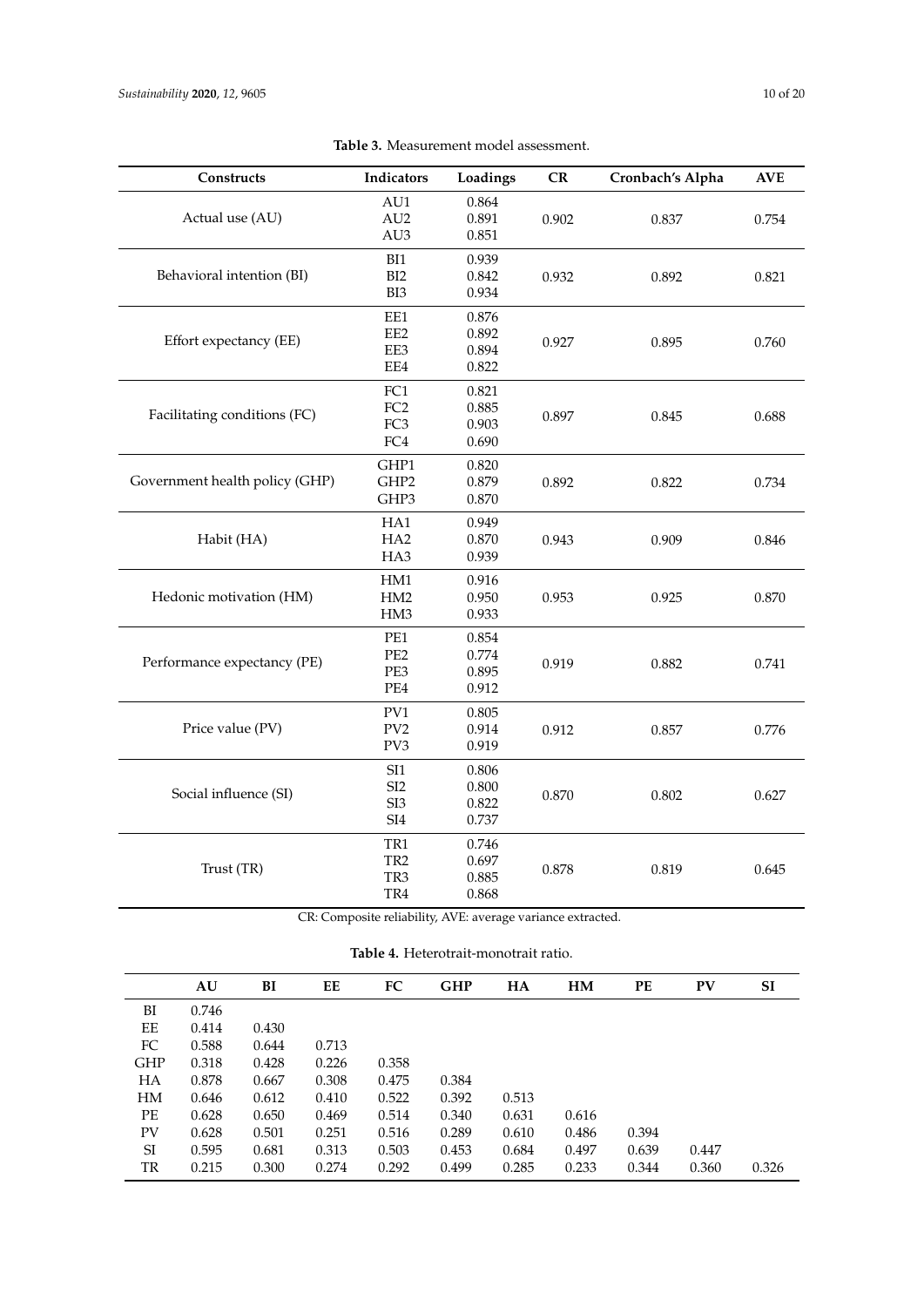<span id="page-9-0"></span>

| Constructs                     | Indicators                                                                           | Loadings                         | CR    | Cronbach's Alpha | <b>AVE</b> |
|--------------------------------|--------------------------------------------------------------------------------------|----------------------------------|-------|------------------|------------|
| Actual use (AU)                | AU1<br>AU <sub>2</sub><br>AU3                                                        | 0.864<br>0.891<br>0.851          | 0.902 | 0.837            | 0.754      |
| Behavioral intention (BI)      | BI1<br>BI <sub>2</sub><br>BI3                                                        | 0.939<br>0.842<br>0.934          | 0.932 | 0.892            | 0.821      |
| Effort expectancy (EE)         | EE1<br>EE2<br>EE3<br>EE4                                                             | 0.876<br>0.892<br>0.894<br>0.822 | 0.927 | 0.895            | 0.760      |
| Facilitating conditions (FC)   | FC1<br>FC <sub>2</sub><br>FC3<br>FC4                                                 | 0.821<br>0.885<br>0.903<br>0.690 | 0.897 | 0.845            | 0.688      |
| Government health policy (GHP) | GHP1<br>GHP2<br>GHP3                                                                 | 0.820<br>0.879<br>0.870          | 0.892 | 0.822            | 0.734      |
| Habit (HA)                     | HA1<br>HA <sub>2</sub><br>HA3                                                        | 0.949<br>0.870<br>0.939          | 0.943 | 0.909            | 0.846      |
| Hedonic motivation (HM)        | HM1<br>HM <sub>2</sub><br>HM3                                                        | 0.916<br>0.950<br>0.933          | 0.953 | 0.925            | 0.870      |
| Performance expectancy (PE)    | PE1<br>PE <sub>2</sub><br>PE3<br>PE4                                                 | 0.854<br>0.774<br>0.895<br>0.912 | 0.919 | 0.882            | 0.741      |
| Price value (PV)               | PV1<br>PV <sub>2</sub><br>PV3                                                        | 0.805<br>0.914<br>0.919          | 0.912 | 0.857            | 0.776      |
| Social influence (SI)          | SI <sub>1</sub><br>SI <sub>2</sub><br>SI <sub>3</sub><br>$\ensuremath{\mathrm{SI4}}$ | 0.806<br>0.800<br>0.822<br>0.737 | 0.870 | 0.802            | 0.627      |
| Trust (TR)                     | TR1<br>TR <sub>2</sub><br>TR <sub>3</sub><br>TR4                                     | 0.746<br>0.697<br>0.885<br>0.868 | 0.878 | 0.819            | 0.645      |

**Table 3.** Measurement model assessment.

CR: Composite reliability, AVE: average variance extracted.

**Table 4.** Heterotrait-monotrait ratio.

<span id="page-9-1"></span>

|            | AU    | BI    | EE    | FC    | <b>GHP</b> | <b>HA</b> | HM    | PE    | <b>PV</b> | <b>SI</b> |
|------------|-------|-------|-------|-------|------------|-----------|-------|-------|-----------|-----------|
| BI         | 0.746 |       |       |       |            |           |       |       |           |           |
| EE         | 0.414 | 0.430 |       |       |            |           |       |       |           |           |
| FC         | 0.588 | 0.644 | 0.713 |       |            |           |       |       |           |           |
| <b>GHP</b> | 0.318 | 0.428 | 0.226 | 0.358 |            |           |       |       |           |           |
| HA         | 0.878 | 0.667 | 0.308 | 0.475 | 0.384      |           |       |       |           |           |
| <b>HM</b>  | 0.646 | 0.612 | 0.410 | 0.522 | 0.392      | 0.513     |       |       |           |           |
| PE         | 0.628 | 0.650 | 0.469 | 0.514 | 0.340      | 0.631     | 0.616 |       |           |           |
| PV         | 0.628 | 0.501 | 0.251 | 0.516 | 0.289      | 0.610     | 0.486 | 0.394 |           |           |
| SI         | 0.595 | 0.681 | 0.313 | 0.503 | 0.453      | 0.684     | 0.497 | 0.639 | 0.447     |           |
| TR         | 0.215 | 0.300 | 0.274 | 0.292 | 0.499      | 0.285     | 0.233 | 0.344 | 0.360     | 0.326     |
|            |       |       |       |       |            |           |       |       |           |           |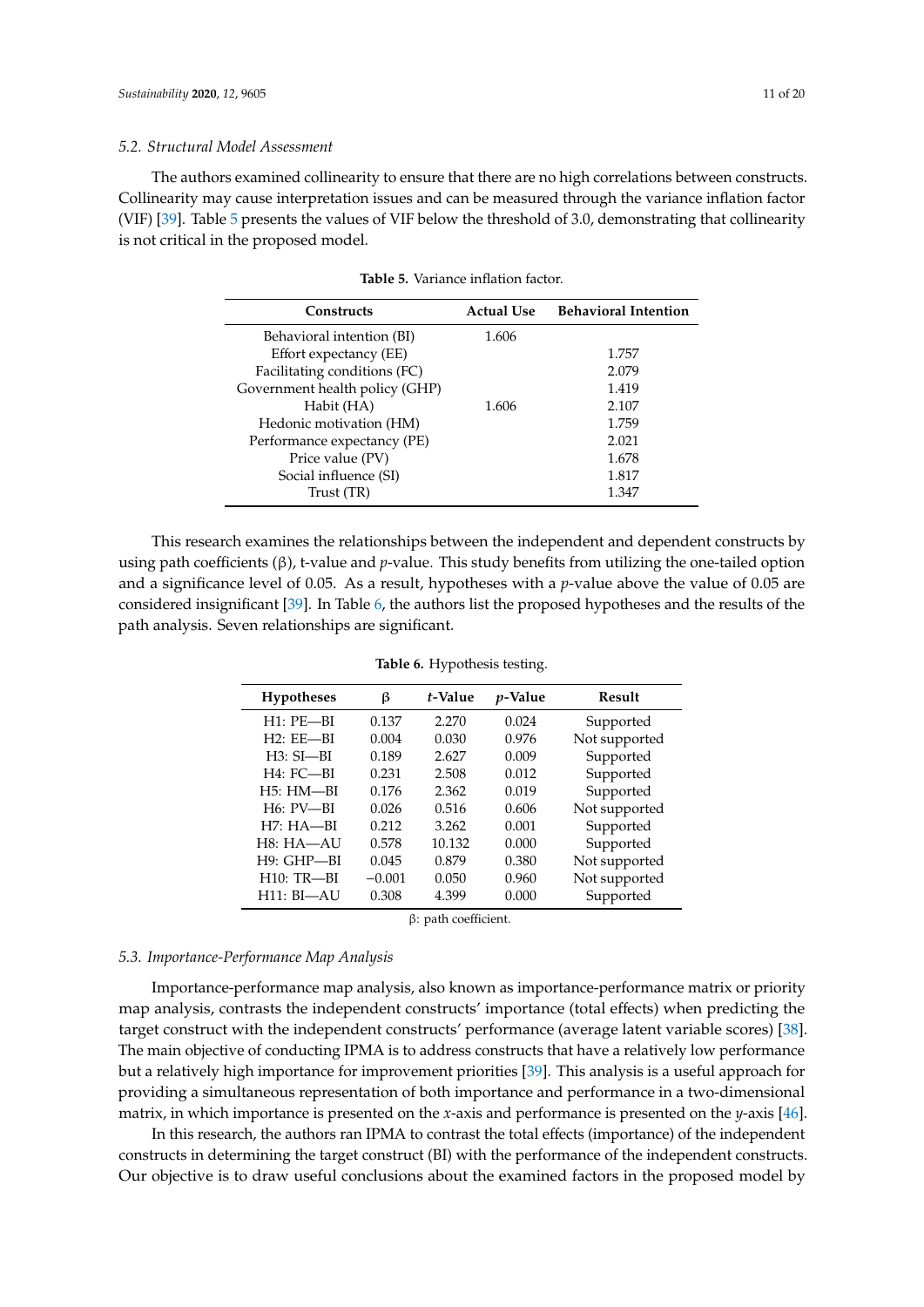<span id="page-10-0"></span>The authors examined collinearity to ensure that there are no high correlations between constructs. Collinearity may cause interpretation issues and can be measured through the variance inflation factor (VIF) [\[39\]](#page-18-13). Table [5](#page-10-0) presents the values of VIF below the threshold of 3.0, demonstrating that collinearity is not critical in the proposed model.

| <b>Constructs</b>              | <b>Actual Use</b> | <b>Behavioral Intention</b> |
|--------------------------------|-------------------|-----------------------------|
| Behavioral intention (BI)      | 1.606             |                             |
| Effort expectancy (EE)         |                   | 1.757                       |
| Facilitating conditions (FC)   |                   | 2.079                       |
| Government health policy (GHP) |                   | 1.419                       |
| Habit (HA)                     | 1.606             | 2.107                       |
| Hedonic motivation (HM)        |                   | 1.759                       |
| Performance expectancy (PE)    |                   | 2.021                       |
| Price value (PV)               |                   | 1.678                       |
| Social influence (SI)          |                   | 1.817                       |
| Trust (TR)                     |                   | 1.347                       |

**Table 5.** Variance inflation factor.

<span id="page-10-1"></span>This research examines the relationships between the independent and dependent constructs by using path coefficients (β), t-value and *p*-value. This study benefits from utilizing the one-tailed option and a significance level of 0.05. As a result, hypotheses with a *p*-value above the value of 0.05 are considered insignificant [\[39\]](#page-18-13). In Table [6,](#page-10-1) the authors list the proposed hypotheses and the results of the path analysis. Seven relationships are significant.

| ß        | t-Value | <i>p</i> -Value | <b>Result</b> |
|----------|---------|-----------------|---------------|
| 0.137    | 2.270   | 0.024           | Supported     |
| 0.004    | 0.030   | 0.976           | Not supported |
| 0.189    | 2.627   | 0.009           | Supported     |
| 0.231    | 2.508   | 0.012           | Supported     |
| 0.176    | 2.362   | 0.019           | Supported     |
| 0.026    | 0.516   | 0.606           | Not supported |
| 0.212    | 3.262   | 0.001           | Supported     |
| 0.578    | 10.132  | 0.000           | Supported     |
| 0.045    | 0.879   | 0.380           | Not supported |
| $-0.001$ | 0.050   | 0.960           | Not supported |
| 0.308    | 4.399   | 0.000           | Supported     |
|          |         |                 |               |

**Table 6.** Hypothesis testing.

β: path coefficient.

## *5.3. Importance-Performance Map Analysis*

Importance-performance map analysis, also known as importance-performance matrix or priority map analysis, contrasts the independent constructs' importance (total effects) when predicting the target construct with the independent constructs' performance (average latent variable scores) [\[38\]](#page-18-12). The main objective of conducting IPMA is to address constructs that have a relatively low performance but a relatively high importance for improvement priorities [\[39\]](#page-18-13). This analysis is a useful approach for providing a simultaneous representation of both importance and performance in a two-dimensional matrix, in which importance is presented on the *x*-axis and performance is presented on the *y*-axis [\[46\]](#page-18-20).

In this research, the authors ran IPMA to contrast the total effects (importance) of the independent constructs in determining the target construct (BI) with the performance of the independent constructs. Our objective is to draw useful conclusions about the examined factors in the proposed model by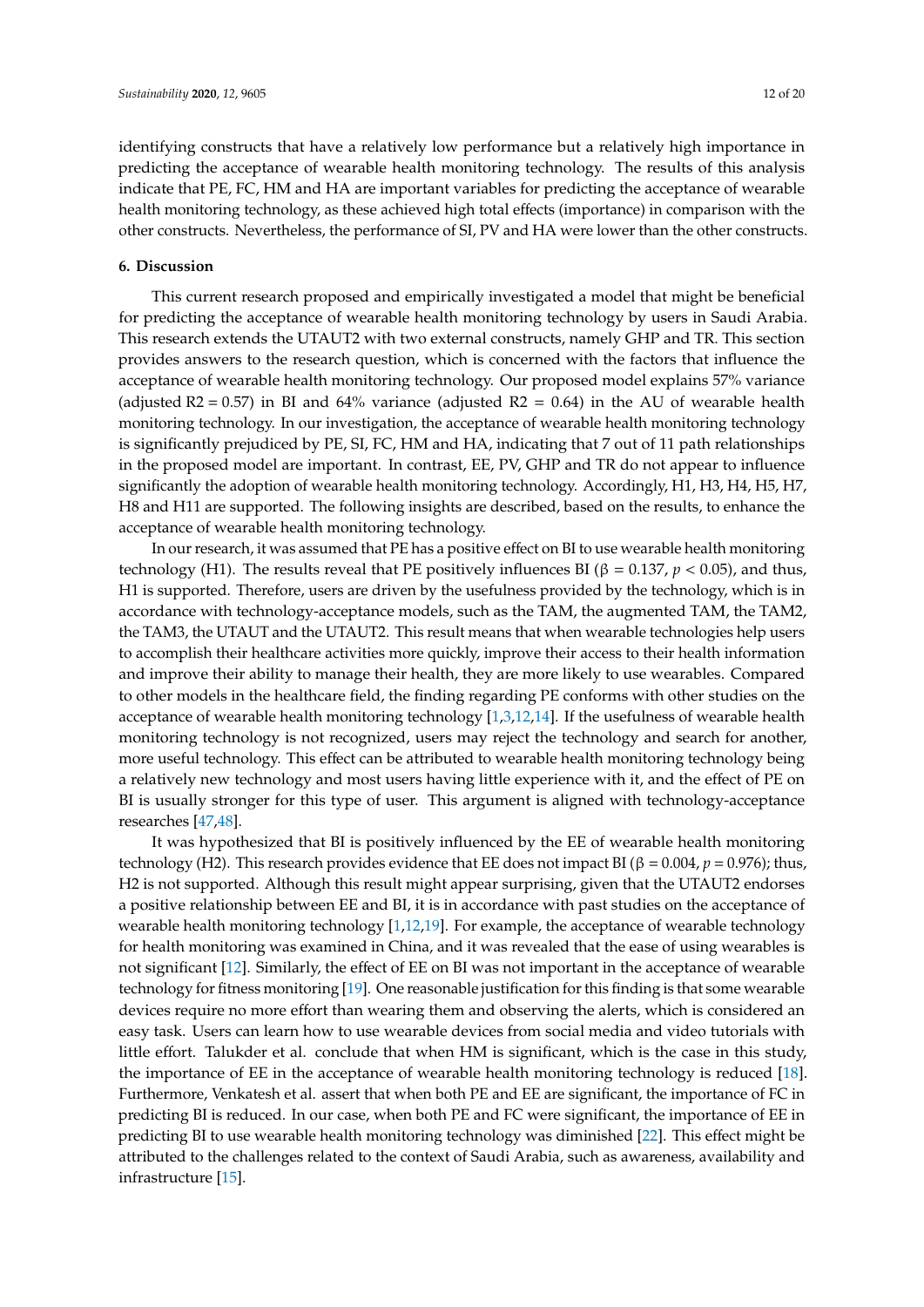identifying constructs that have a relatively low performance but a relatively high importance in predicting the acceptance of wearable health monitoring technology. The results of this analysis indicate that PE, FC, HM and HA are important variables for predicting the acceptance of wearable health monitoring technology, as these achieved high total effects (importance) in comparison with the other constructs. Nevertheless, the performance of SI, PV and HA were lower than the other constructs.

# <span id="page-11-0"></span>**6. Discussion**

This current research proposed and empirically investigated a model that might be beneficial for predicting the acceptance of wearable health monitoring technology by users in Saudi Arabia. This research extends the UTAUT2 with two external constructs, namely GHP and TR. This section provides answers to the research question, which is concerned with the factors that influence the acceptance of wearable health monitoring technology. Our proposed model explains 57% variance (adjusted  $R2 = 0.57$ ) in BI and 64% variance (adjusted  $R2 = 0.64$ ) in the AU of wearable health monitoring technology. In our investigation, the acceptance of wearable health monitoring technology is significantly prejudiced by PE, SI, FC, HM and HA, indicating that 7 out of 11 path relationships in the proposed model are important. In contrast, EE, PV, GHP and TR do not appear to influence significantly the adoption of wearable health monitoring technology. Accordingly, H1, H3, H4, H5, H7, H8 and H11 are supported. The following insights are described, based on the results, to enhance the acceptance of wearable health monitoring technology.

In our research, it was assumed that PE has a positive effect on BI to use wearable health monitoring technology (H1). The results reveal that PE positively influences BI ( $\beta = 0.137$ ,  $p < 0.05$ ), and thus, H1 is supported. Therefore, users are driven by the usefulness provided by the technology, which is in accordance with technology-acceptance models, such as the TAM, the augmented TAM, the TAM2, the TAM3, the UTAUT and the UTAUT2. This result means that when wearable technologies help users to accomplish their healthcare activities more quickly, improve their access to their health information and improve their ability to manage their health, they are more likely to use wearables. Compared to other models in the healthcare field, the finding regarding PE conforms with other studies on the acceptance of wearable health monitoring technology [\[1](#page-16-0)[,3](#page-16-2)[,12](#page-17-8)[,14\]](#page-17-9). If the usefulness of wearable health monitoring technology is not recognized, users may reject the technology and search for another, more useful technology. This effect can be attributed to wearable health monitoring technology being a relatively new technology and most users having little experience with it, and the effect of PE on BI is usually stronger for this type of user. This argument is aligned with technology-acceptance researches [\[47](#page-18-21)[,48\]](#page-18-22).

It was hypothesized that BI is positively influenced by the EE of wearable health monitoring technology (H2). This research provides evidence that EE does not impact BI (β = 0.004, *p* = 0.976); thus, H2 is not supported. Although this result might appear surprising, given that the UTAUT2 endorses a positive relationship between EE and BI, it is in accordance with past studies on the acceptance of wearable health monitoring technology [\[1,](#page-16-0)[12](#page-17-8)[,19\]](#page-17-15). For example, the acceptance of wearable technology for health monitoring was examined in China, and it was revealed that the ease of using wearables is not significant [\[12\]](#page-17-8). Similarly, the effect of EE on BI was not important in the acceptance of wearable technology for fitness monitoring [\[19\]](#page-17-15). One reasonable justification for this finding is that some wearable devices require no more effort than wearing them and observing the alerts, which is considered an easy task. Users can learn how to use wearable devices from social media and video tutorials with little effort. Talukder et al. conclude that when HM is significant, which is the case in this study, the importance of EE in the acceptance of wearable health monitoring technology is reduced [\[18\]](#page-17-14). Furthermore, Venkatesh et al. assert that when both PE and EE are significant, the importance of FC in predicting BI is reduced. In our case, when both PE and FC were significant, the importance of EE in predicting BI to use wearable health monitoring technology was diminished [\[22\]](#page-17-18). This effect might be attributed to the challenges related to the context of Saudi Arabia, such as awareness, availability and infrastructure [\[15\]](#page-17-11).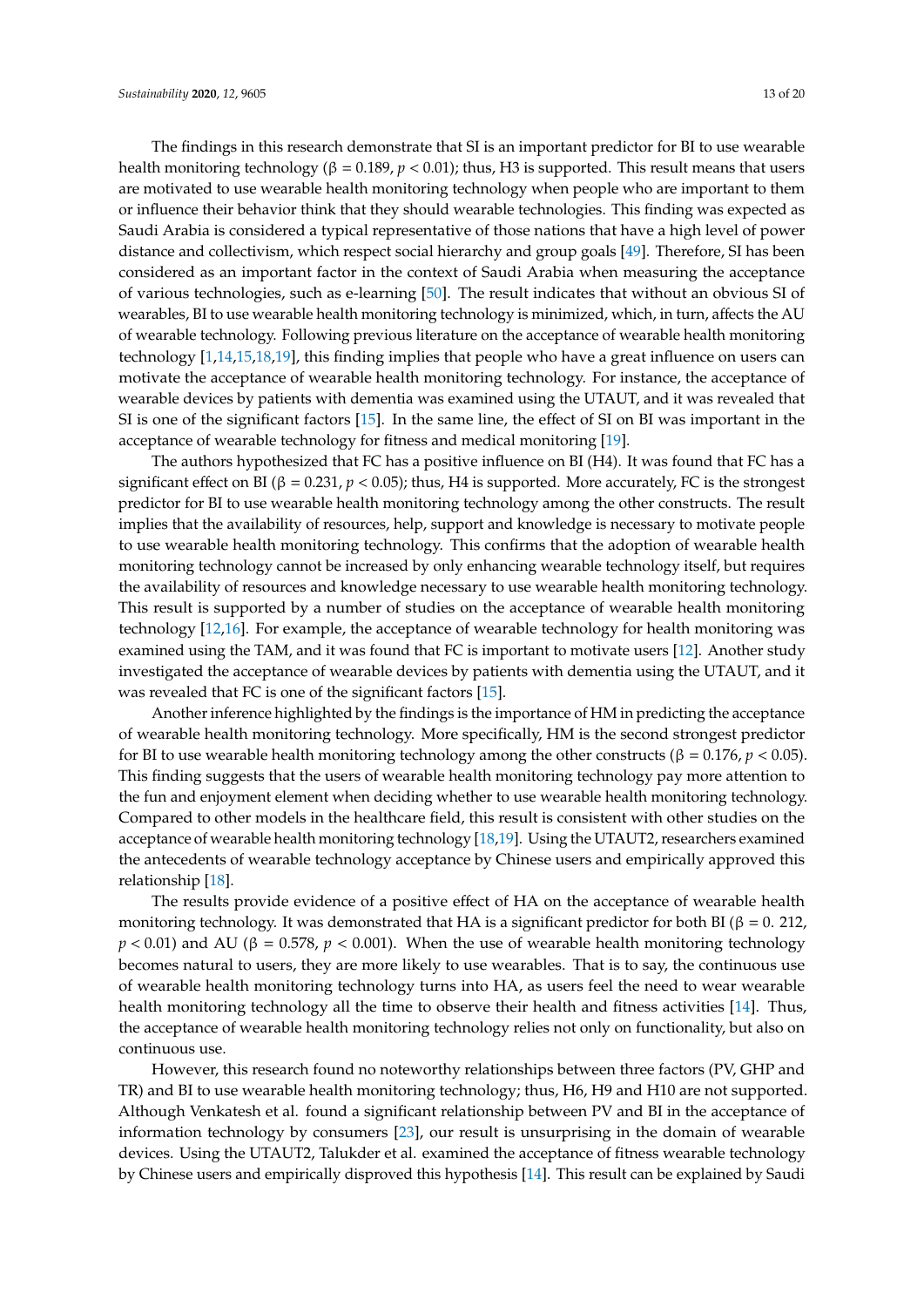The findings in this research demonstrate that SI is an important predictor for BI to use wearable health monitoring technology ( $\beta = 0.189$ ,  $p < 0.01$ ); thus, H3 is supported. This result means that users are motivated to use wearable health monitoring technology when people who are important to them or influence their behavior think that they should wearable technologies. This finding was expected as Saudi Arabia is considered a typical representative of those nations that have a high level of power distance and collectivism, which respect social hierarchy and group goals [\[49\]](#page-18-23). Therefore, SI has been considered as an important factor in the context of Saudi Arabia when measuring the acceptance of various technologies, such as e-learning [\[50\]](#page-18-24). The result indicates that without an obvious SI of wearables, BI to use wearable health monitoring technology is minimized, which, in turn, affects the AU of wearable technology. Following previous literature on the acceptance of wearable health monitoring technology [\[1](#page-16-0)[,14](#page-17-9)[,15](#page-17-11)[,18](#page-17-14)[,19\]](#page-17-15), this finding implies that people who have a great influence on users can motivate the acceptance of wearable health monitoring technology. For instance, the acceptance of wearable devices by patients with dementia was examined using the UTAUT, and it was revealed that SI is one of the significant factors [\[15\]](#page-17-11). In the same line, the effect of SI on BI was important in the acceptance of wearable technology for fitness and medical monitoring [\[19\]](#page-17-15).

The authors hypothesized that FC has a positive influence on BI (H4). It was found that FC has a significant effect on BI ( $\beta = 0.231$ ,  $p < 0.05$ ); thus, H4 is supported. More accurately, FC is the strongest predictor for BI to use wearable health monitoring technology among the other constructs. The result implies that the availability of resources, help, support and knowledge is necessary to motivate people to use wearable health monitoring technology. This confirms that the adoption of wearable health monitoring technology cannot be increased by only enhancing wearable technology itself, but requires the availability of resources and knowledge necessary to use wearable health monitoring technology. This result is supported by a number of studies on the acceptance of wearable health monitoring technology [\[12](#page-17-8)[,16\]](#page-17-12). For example, the acceptance of wearable technology for health monitoring was examined using the TAM, and it was found that FC is important to motivate users [\[12\]](#page-17-8). Another study investigated the acceptance of wearable devices by patients with dementia using the UTAUT, and it was revealed that FC is one of the significant factors [\[15\]](#page-17-11).

Another inference highlighted by the findings is the importance of HM in predicting the acceptance of wearable health monitoring technology. More specifically, HM is the second strongest predictor for BI to use wearable health monitoring technology among the other constructs (β = 0.176, *p* < 0.05). This finding suggests that the users of wearable health monitoring technology pay more attention to the fun and enjoyment element when deciding whether to use wearable health monitoring technology. Compared to other models in the healthcare field, this result is consistent with other studies on the acceptance of wearable health monitoring technology [\[18](#page-17-14)[,19\]](#page-17-15). Using the UTAUT2, researchers examined the antecedents of wearable technology acceptance by Chinese users and empirically approved this relationship [\[18\]](#page-17-14).

The results provide evidence of a positive effect of HA on the acceptance of wearable health monitoring technology. It was demonstrated that HA is a significant predictor for both BI ( $\beta = 0$ . 212,  $p < 0.01$ ) and AU ( $\beta = 0.578$ ,  $p < 0.001$ ). When the use of wearable health monitoring technology becomes natural to users, they are more likely to use wearables. That is to say, the continuous use of wearable health monitoring technology turns into HA, as users feel the need to wear wearable health monitoring technology all the time to observe their health and fitness activities [\[14\]](#page-17-9). Thus, the acceptance of wearable health monitoring technology relies not only on functionality, but also on continuous use.

However, this research found no noteworthy relationships between three factors (PV, GHP and TR) and BI to use wearable health monitoring technology; thus, H6, H9 and H10 are not supported. Although Venkatesh et al. found a significant relationship between PV and BI in the acceptance of information technology by consumers [\[23\]](#page-17-19), our result is unsurprising in the domain of wearable devices. Using the UTAUT2, Talukder et al. examined the acceptance of fitness wearable technology by Chinese users and empirically disproved this hypothesis [\[14\]](#page-17-9). This result can be explained by Saudi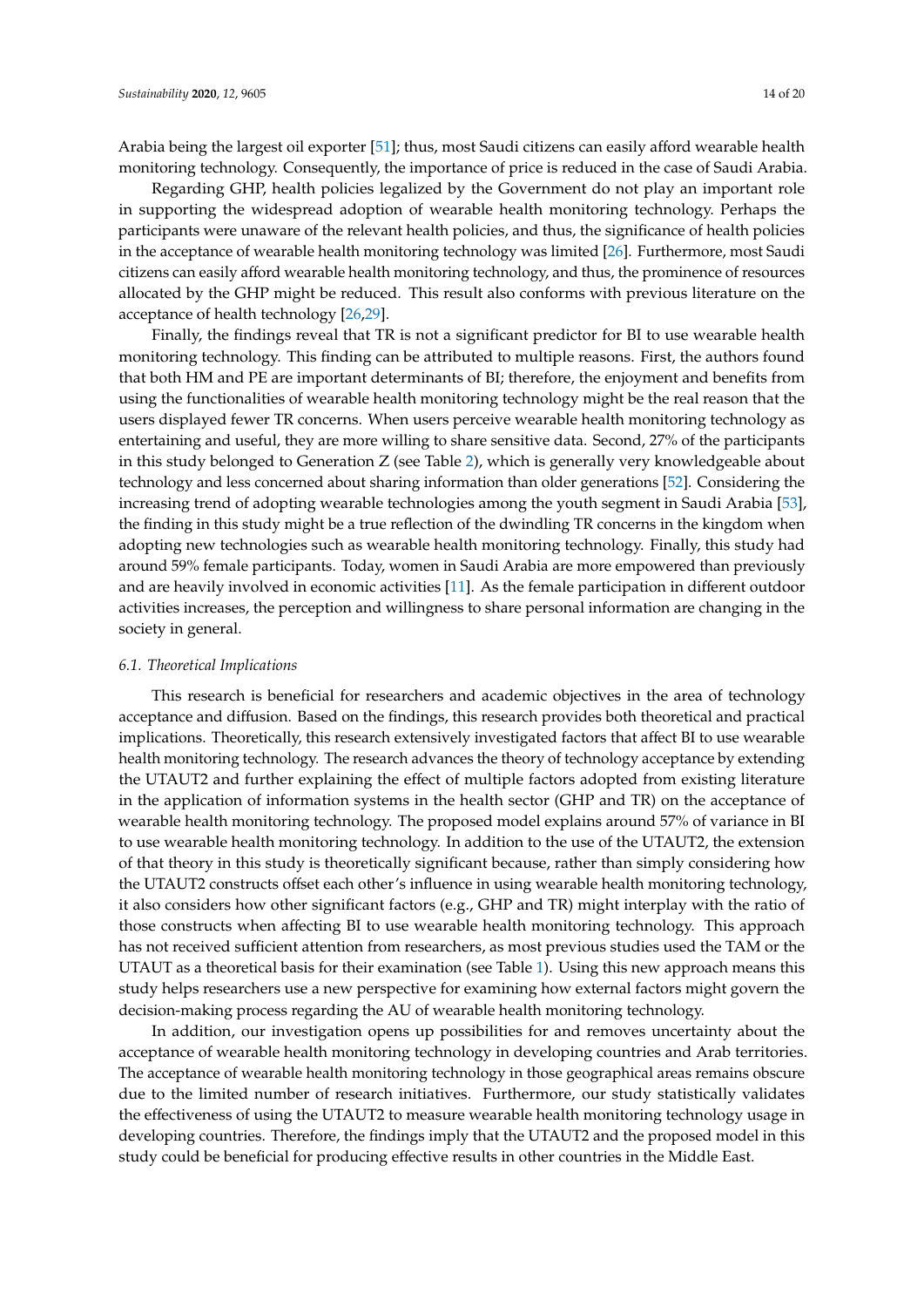Arabia being the largest oil exporter [\[51\]](#page-18-25); thus, most Saudi citizens can easily afford wearable health monitoring technology. Consequently, the importance of price is reduced in the case of Saudi Arabia.

Regarding GHP, health policies legalized by the Government do not play an important role in supporting the widespread adoption of wearable health monitoring technology. Perhaps the participants were unaware of the relevant health policies, and thus, the significance of health policies in the acceptance of wearable health monitoring technology was limited [\[26\]](#page-18-0). Furthermore, most Saudi citizens can easily afford wearable health monitoring technology, and thus, the prominence of resources allocated by the GHP might be reduced. This result also conforms with previous literature on the acceptance of health technology [\[26,](#page-18-0)[29\]](#page-18-2).

Finally, the findings reveal that TR is not a significant predictor for BI to use wearable health monitoring technology. This finding can be attributed to multiple reasons. First, the authors found that both HM and PE are important determinants of BI; therefore, the enjoyment and benefits from using the functionalities of wearable health monitoring technology might be the real reason that the users displayed fewer TR concerns. When users perceive wearable health monitoring technology as entertaining and useful, they are more willing to share sensitive data. Second, 27% of the participants in this study belonged to Generation Z (see Table [2\)](#page-8-1), which is generally very knowledgeable about technology and less concerned about sharing information than older generations [\[52\]](#page-19-0). Considering the increasing trend of adopting wearable technologies among the youth segment in Saudi Arabia [\[53\]](#page-19-1), the finding in this study might be a true reflection of the dwindling TR concerns in the kingdom when adopting new technologies such as wearable health monitoring technology. Finally, this study had around 59% female participants. Today, women in Saudi Arabia are more empowered than previously and are heavily involved in economic activities [\[11\]](#page-17-7). As the female participation in different outdoor activities increases, the perception and willingness to share personal information are changing in the society in general.

#### *6.1. Theoretical Implications*

This research is beneficial for researchers and academic objectives in the area of technology acceptance and diffusion. Based on the findings, this research provides both theoretical and practical implications. Theoretically, this research extensively investigated factors that affect BI to use wearable health monitoring technology. The research advances the theory of technology acceptance by extending the UTAUT2 and further explaining the effect of multiple factors adopted from existing literature in the application of information systems in the health sector (GHP and TR) on the acceptance of wearable health monitoring technology. The proposed model explains around 57% of variance in BI to use wearable health monitoring technology. In addition to the use of the UTAUT2, the extension of that theory in this study is theoretically significant because, rather than simply considering how the UTAUT2 constructs offset each other's influence in using wearable health monitoring technology, it also considers how other significant factors (e.g., GHP and TR) might interplay with the ratio of those constructs when affecting BI to use wearable health monitoring technology. This approach has not received sufficient attention from researchers, as most previous studies used the TAM or the UTAUT as a theoretical basis for their examination (see Table [1\)](#page-2-1). Using this new approach means this study helps researchers use a new perspective for examining how external factors might govern the decision-making process regarding the AU of wearable health monitoring technology.

In addition, our investigation opens up possibilities for and removes uncertainty about the acceptance of wearable health monitoring technology in developing countries and Arab territories. The acceptance of wearable health monitoring technology in those geographical areas remains obscure due to the limited number of research initiatives. Furthermore, our study statistically validates the effectiveness of using the UTAUT2 to measure wearable health monitoring technology usage in developing countries. Therefore, the findings imply that the UTAUT2 and the proposed model in this study could be beneficial for producing effective results in other countries in the Middle East.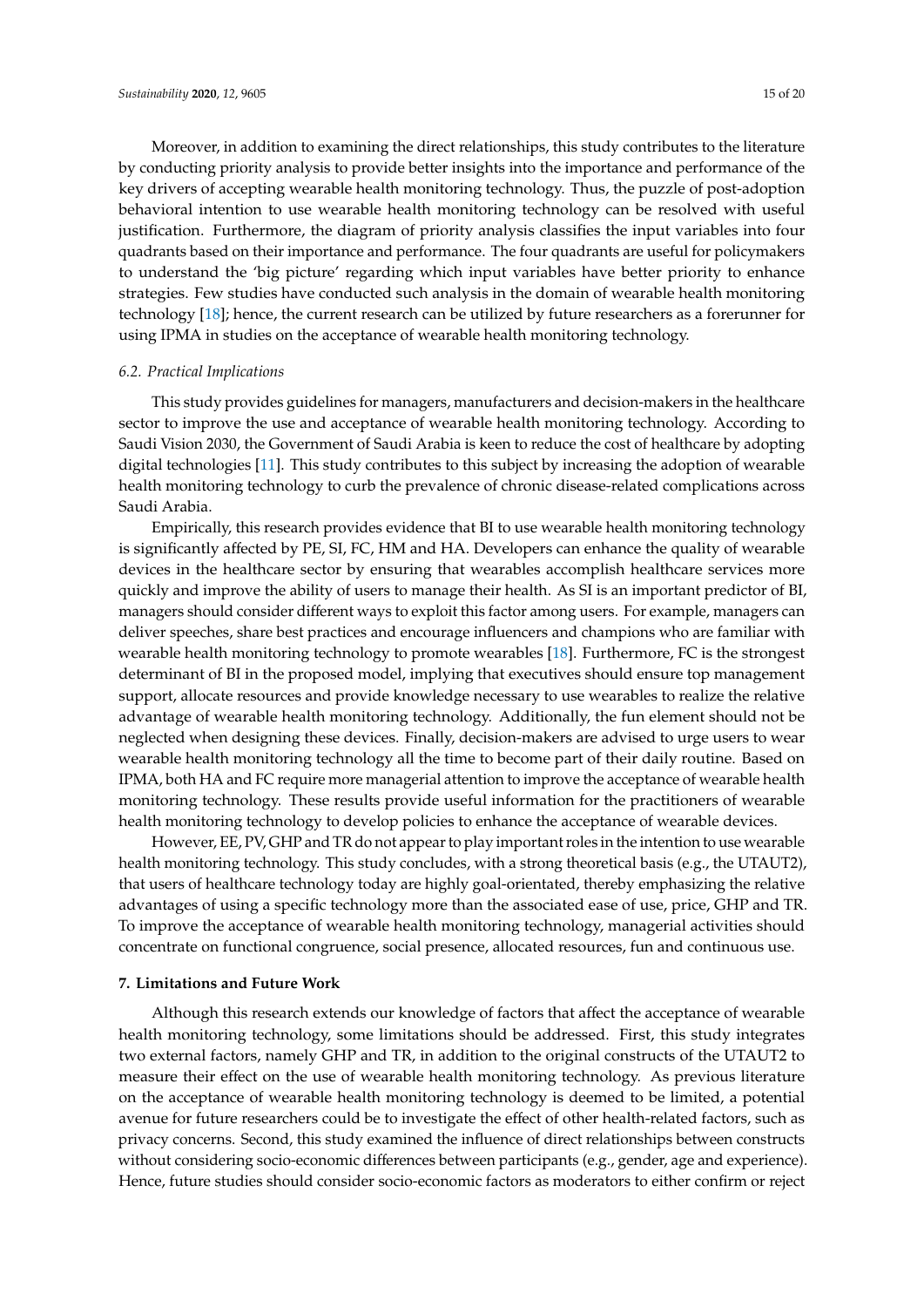Moreover, in addition to examining the direct relationships, this study contributes to the literature by conducting priority analysis to provide better insights into the importance and performance of the key drivers of accepting wearable health monitoring technology. Thus, the puzzle of post-adoption behavioral intention to use wearable health monitoring technology can be resolved with useful justification. Furthermore, the diagram of priority analysis classifies the input variables into four quadrants based on their importance and performance. The four quadrants are useful for policymakers to understand the 'big picture' regarding which input variables have better priority to enhance strategies. Few studies have conducted such analysis in the domain of wearable health monitoring technology [\[18\]](#page-17-14); hence, the current research can be utilized by future researchers as a forerunner for using IPMA in studies on the acceptance of wearable health monitoring technology.

# *6.2. Practical Implications*

This study provides guidelines for managers, manufacturers and decision-makers in the healthcare sector to improve the use and acceptance of wearable health monitoring technology. According to Saudi Vision 2030, the Government of Saudi Arabia is keen to reduce the cost of healthcare by adopting digital technologies [\[11\]](#page-17-7). This study contributes to this subject by increasing the adoption of wearable health monitoring technology to curb the prevalence of chronic disease-related complications across Saudi Arabia.

Empirically, this research provides evidence that BI to use wearable health monitoring technology is significantly affected by PE, SI, FC, HM and HA. Developers can enhance the quality of wearable devices in the healthcare sector by ensuring that wearables accomplish healthcare services more quickly and improve the ability of users to manage their health. As SI is an important predictor of BI, managers should consider different ways to exploit this factor among users. For example, managers can deliver speeches, share best practices and encourage influencers and champions who are familiar with wearable health monitoring technology to promote wearables [\[18\]](#page-17-14). Furthermore, FC is the strongest determinant of BI in the proposed model, implying that executives should ensure top management support, allocate resources and provide knowledge necessary to use wearables to realize the relative advantage of wearable health monitoring technology. Additionally, the fun element should not be neglected when designing these devices. Finally, decision-makers are advised to urge users to wear wearable health monitoring technology all the time to become part of their daily routine. Based on IPMA, both HA and FC require more managerial attention to improve the acceptance of wearable health monitoring technology. These results provide useful information for the practitioners of wearable health monitoring technology to develop policies to enhance the acceptance of wearable devices.

However, EE, PV, GHP and TR do not appear to play important roles in the intention to use wearable health monitoring technology. This study concludes, with a strong theoretical basis (e.g., the UTAUT2), that users of healthcare technology today are highly goal-orientated, thereby emphasizing the relative advantages of using a specific technology more than the associated ease of use, price, GHP and TR. To improve the acceptance of wearable health monitoring technology, managerial activities should concentrate on functional congruence, social presence, allocated resources, fun and continuous use.

#### **7. Limitations and Future Work**

Although this research extends our knowledge of factors that affect the acceptance of wearable health monitoring technology, some limitations should be addressed. First, this study integrates two external factors, namely GHP and TR, in addition to the original constructs of the UTAUT2 to measure their effect on the use of wearable health monitoring technology. As previous literature on the acceptance of wearable health monitoring technology is deemed to be limited, a potential avenue for future researchers could be to investigate the effect of other health-related factors, such as privacy concerns. Second, this study examined the influence of direct relationships between constructs without considering socio-economic differences between participants (e.g., gender, age and experience). Hence, future studies should consider socio-economic factors as moderators to either confirm or reject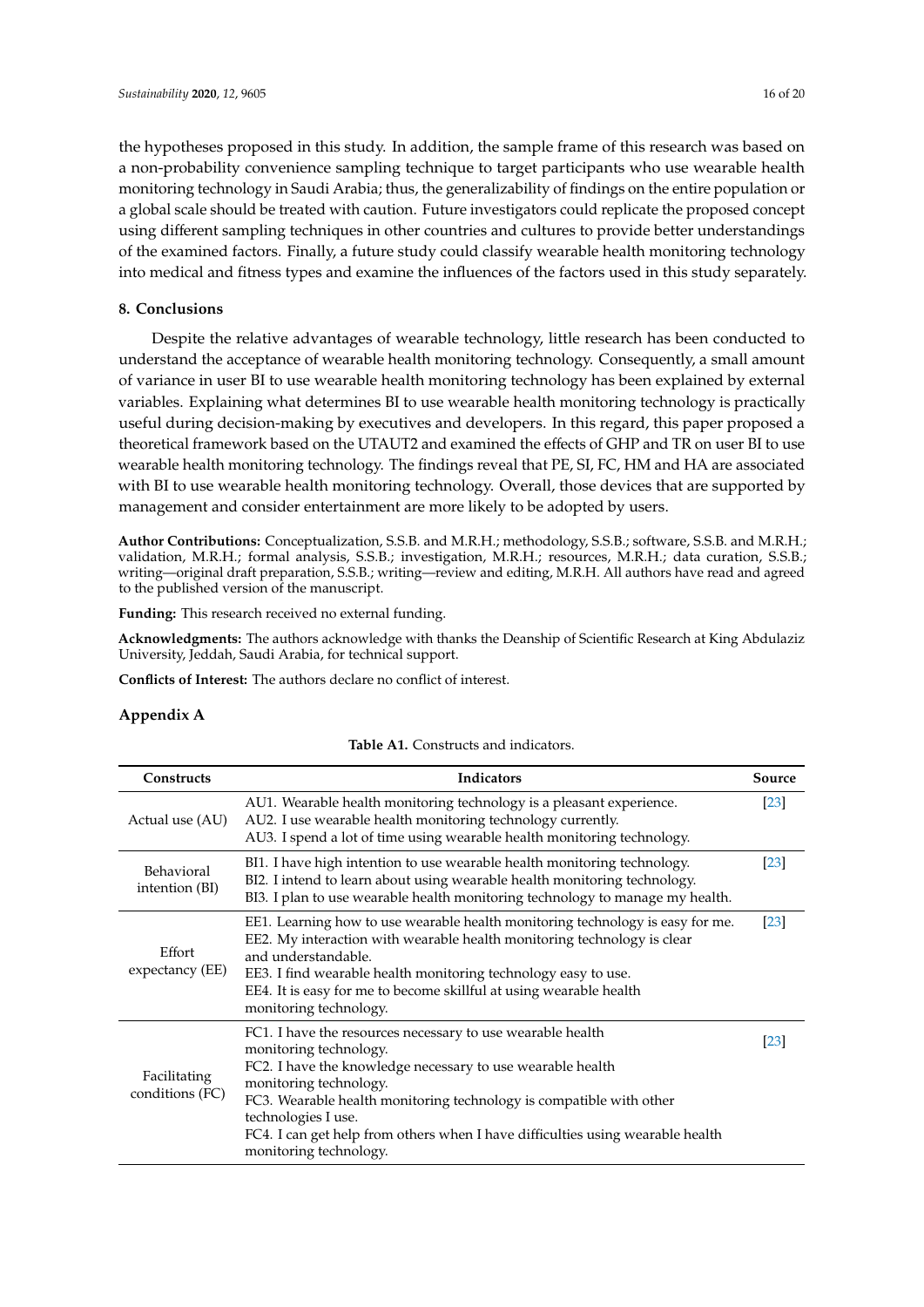the hypotheses proposed in this study. In addition, the sample frame of this research was based on a non-probability convenience sampling technique to target participants who use wearable health monitoring technology in Saudi Arabia; thus, the generalizability of findings on the entire population or a global scale should be treated with caution. Future investigators could replicate the proposed concept using different sampling techniques in other countries and cultures to provide better understandings of the examined factors. Finally, a future study could classify wearable health monitoring technology into medical and fitness types and examine the influences of the factors used in this study separately.

# <span id="page-15-0"></span>**8. Conclusions**

Despite the relative advantages of wearable technology, little research has been conducted to understand the acceptance of wearable health monitoring technology. Consequently, a small amount of variance in user BI to use wearable health monitoring technology has been explained by external variables. Explaining what determines BI to use wearable health monitoring technology is practically useful during decision-making by executives and developers. In this regard, this paper proposed a theoretical framework based on the UTAUT2 and examined the effects of GHP and TR on user BI to use wearable health monitoring technology. The findings reveal that PE, SI, FC, HM and HA are associated with BI to use wearable health monitoring technology. Overall, those devices that are supported by management and consider entertainment are more likely to be adopted by users.

**Author Contributions:** Conceptualization, S.S.B. and M.R.H.; methodology, S.S.B.; software, S.S.B. and M.R.H.; validation, M.R.H.; formal analysis, S.S.B.; investigation, M.R.H.; resources, M.R.H.; data curation, S.S.B.; writing—original draft preparation, S.S.B.; writing—review and editing, M.R.H. All authors have read and agreed to the published version of the manuscript.

**Funding:** This research received no external funding.

**Acknowledgments:** The authors acknowledge with thanks the Deanship of Scientific Research at King Abdulaziz University, Jeddah, Saudi Arabia, for technical support.

**Conflicts of Interest:** The authors declare no conflict of interest.

# <span id="page-15-1"></span>**Appendix A**

| Constructs                      | Indicators                                                                                                                                                                                                                                                                                                                                                                             | Source            |
|---------------------------------|----------------------------------------------------------------------------------------------------------------------------------------------------------------------------------------------------------------------------------------------------------------------------------------------------------------------------------------------------------------------------------------|-------------------|
| Actual use (AU)                 | AU1. Wearable health monitoring technology is a pleasant experience.<br>AU2. I use wearable health monitoring technology currently.<br>AU3. I spend a lot of time using wearable health monitoring technology.                                                                                                                                                                         | $[23]$            |
| Behavioral<br>intention (BI)    | BI1. I have high intention to use wearable health monitoring technology.<br>BI2. I intend to learn about using wearable health monitoring technology.<br>BI3. I plan to use wearable health monitoring technology to manage my health.                                                                                                                                                 | $\left[23\right]$ |
| Effort<br>expectancy (EE)       | EE1. Learning how to use wearable health monitoring technology is easy for me.<br>EE2. My interaction with wearable health monitoring technology is clear<br>and understandable.<br>EE3. I find wearable health monitoring technology easy to use.<br>EE4. It is easy for me to become skillful at using wearable health<br>monitoring technology.                                     | $[23]$            |
| Facilitating<br>conditions (FC) | FC1. I have the resources necessary to use wearable health<br>monitoring technology.<br>FC2. I have the knowledge necessary to use wearable health<br>monitoring technology.<br>FC3. Wearable health monitoring technology is compatible with other<br>technologies I use.<br>FC4. I can get help from others when I have difficulties using wearable health<br>monitoring technology. | [23]              |

# **Table A1.** Constructs and indicators.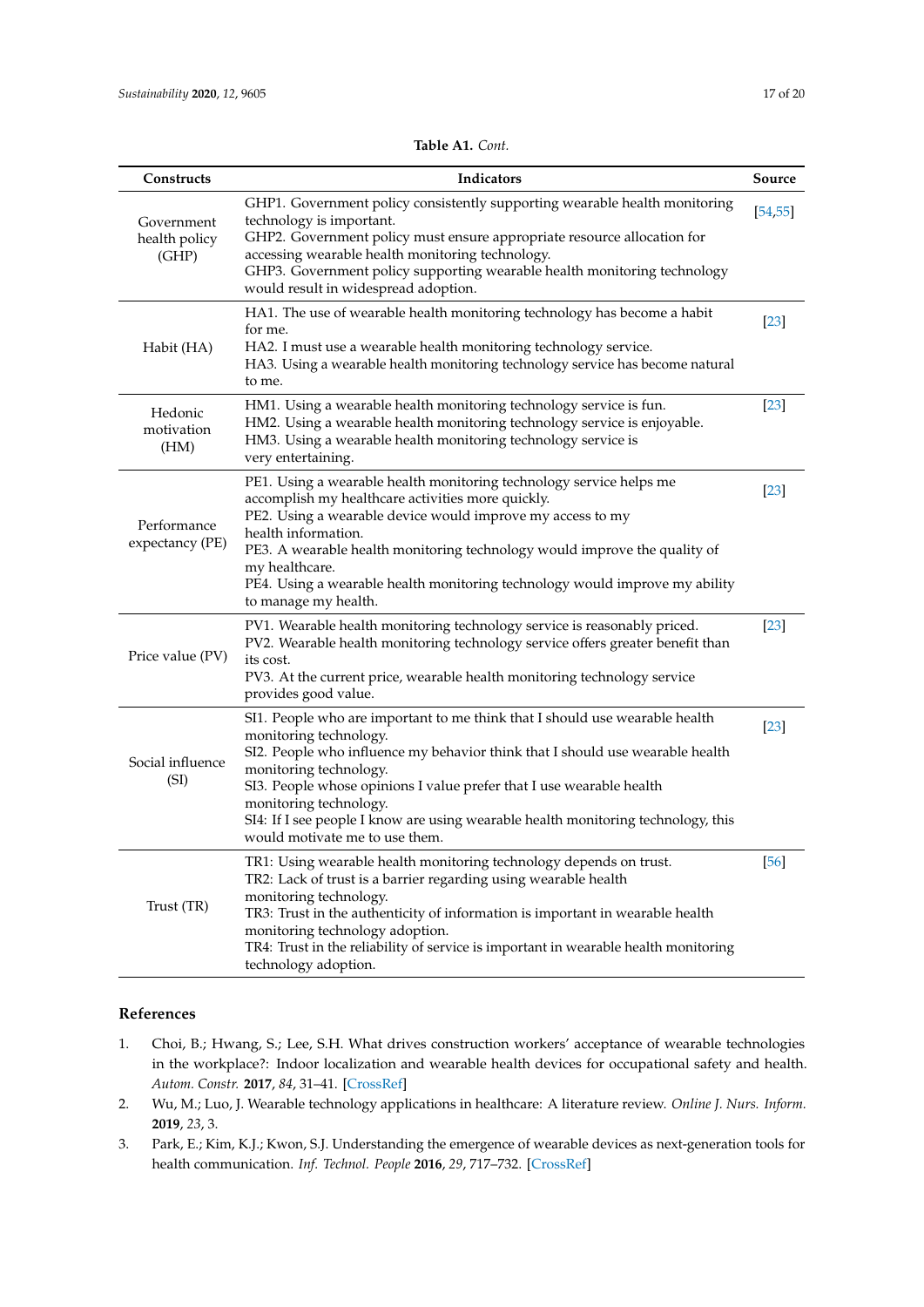| Constructs                           | <b>Indicators</b>                                                                                                                                                                                                                                                                                                                                                                                                                         | Source            |
|--------------------------------------|-------------------------------------------------------------------------------------------------------------------------------------------------------------------------------------------------------------------------------------------------------------------------------------------------------------------------------------------------------------------------------------------------------------------------------------------|-------------------|
| Government<br>health policy<br>(GHP) | GHP1. Government policy consistently supporting wearable health monitoring<br>technology is important.<br>GHP2. Government policy must ensure appropriate resource allocation for<br>accessing wearable health monitoring technology.<br>GHP3. Government policy supporting wearable health monitoring technology<br>would result in widespread adoption.                                                                                 | [54, 55]          |
| Habit (HA)                           | HA1. The use of wearable health monitoring technology has become a habit<br>for me.<br>HA2. I must use a wearable health monitoring technology service.<br>HA3. Using a wearable health monitoring technology service has become natural<br>to me.                                                                                                                                                                                        | $[23]$            |
| Hedonic<br>motivation<br>(HM)        | HM1. Using a wearable health monitoring technology service is fun.<br>HM2. Using a wearable health monitoring technology service is enjoyable.<br>HM3. Using a wearable health monitoring technology service is<br>very entertaining.                                                                                                                                                                                                     | $[23]$            |
| Performance<br>expectancy (PE)       | PE1. Using a wearable health monitoring technology service helps me<br>accomplish my healthcare activities more quickly.<br>PE2. Using a wearable device would improve my access to my<br>health information.<br>PE3. A wearable health monitoring technology would improve the quality of<br>my healthcare.<br>PE4. Using a wearable health monitoring technology would improve my ability<br>to manage my health.                       | $[23]$            |
| Price value (PV)                     | PV1. Wearable health monitoring technology service is reasonably priced.<br>PV2. Wearable health monitoring technology service offers greater benefit than<br>its cost.<br>PV3. At the current price, wearable health monitoring technology service<br>provides good value.                                                                                                                                                               | $[23]$            |
| Social influence<br>(SI)             | SI1. People who are important to me think that I should use wearable health<br>monitoring technology.<br>SI2. People who influence my behavior think that I should use wearable health<br>monitoring technology.<br>SI3. People whose opinions I value prefer that I use wearable health<br>monitoring technology.<br>SI4: If I see people I know are using wearable health monitoring technology, this<br>would motivate me to use them. | $\left[23\right]$ |
| Trust (TR)                           | TR1: Using wearable health monitoring technology depends on trust.<br>TR2: Lack of trust is a barrier regarding using wearable health<br>monitoring technology.<br>TR3: Trust in the authenticity of information is important in wearable health<br>monitoring technology adoption.<br>TR4: Trust in the reliability of service is important in wearable health monitoring<br>technology adoption.                                        | $[56]$            |

**Table A1.** *Cont.*

# **References**

- <span id="page-16-0"></span>1. Choi, B.; Hwang, S.; Lee, S.H. What drives construction workers' acceptance of wearable technologies in the workplace?: Indoor localization and wearable health devices for occupational safety and health. *Autom. Constr.* **2017**, *84*, 31–41. [\[CrossRef\]](http://dx.doi.org/10.1016/j.autcon.2017.08.005)
- <span id="page-16-1"></span>2. Wu, M.; Luo, J. Wearable technology applications in healthcare: A literature review. *Online J. Nurs. Inform.* **2019**, *23*, 3.
- <span id="page-16-2"></span>3. Park, E.; Kim, K.J.; Kwon, S.J. Understanding the emergence of wearable devices as next-generation tools for health communication. *Inf. Technol. People* **2016**, *29*, 717–732. [\[CrossRef\]](http://dx.doi.org/10.1108/ITP-04-2015-0096)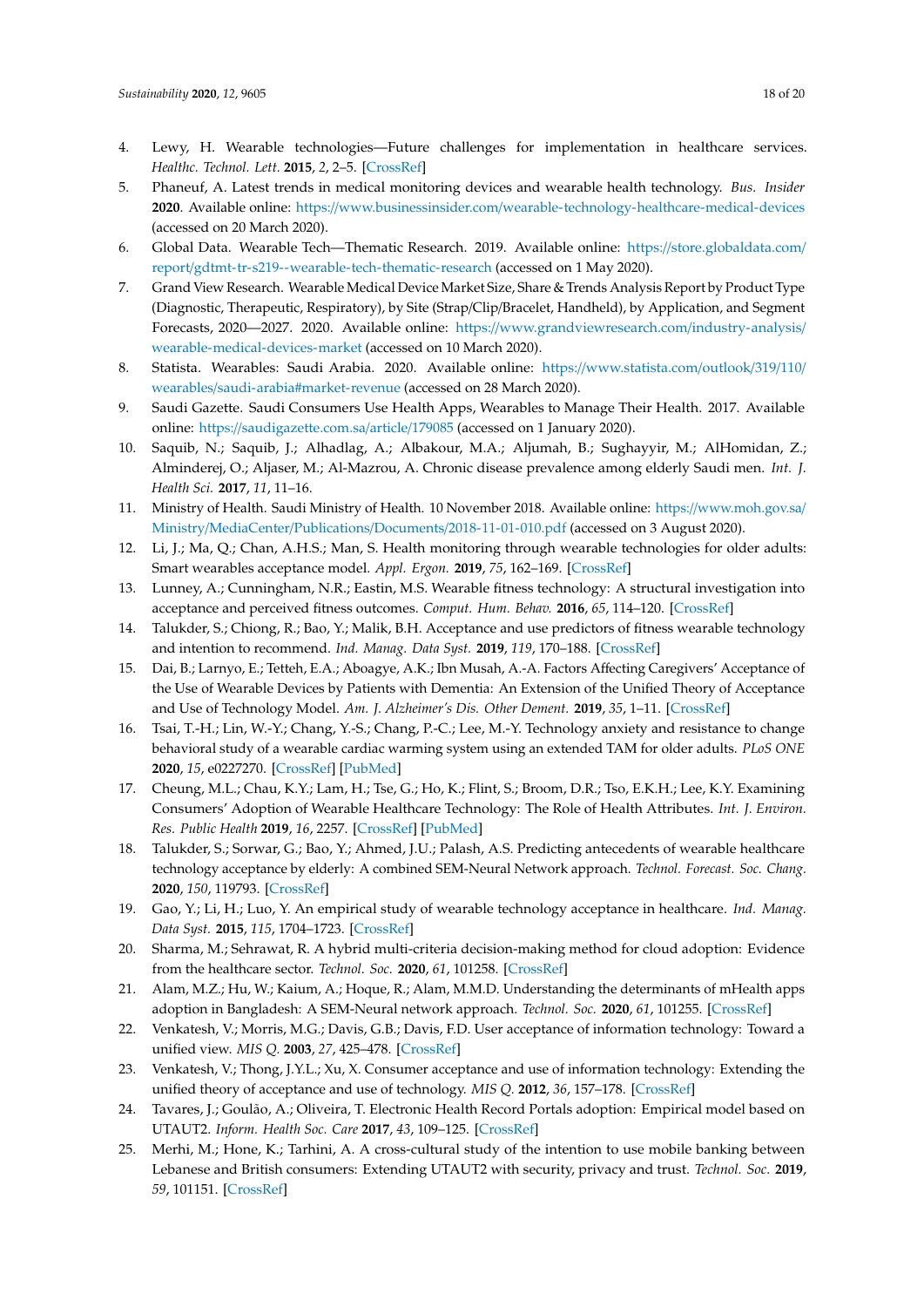- <span id="page-17-0"></span>4. Lewy, H. Wearable technologies—Future challenges for implementation in healthcare services. *Healthc. Technol. Lett.* **2015**, *2*, 2–5. [\[CrossRef\]](http://dx.doi.org/10.1049/htl.2014.0104)
- <span id="page-17-1"></span>5. Phaneuf, A. Latest trends in medical monitoring devices and wearable health technology. *Bus. Insider* **2020**. Available online: https://www.businessinsider.com/[wearable-technology-healthcare-medical-devices](https://www.businessinsider.com/wearable-technology-healthcare-medical-devices) (accessed on 20 March 2020).
- <span id="page-17-2"></span>6. Global Data. Wearable Tech—Thematic Research. 2019. Available online: https://[store.globaldata.com](https://store.globaldata.com/report/gdtmt-tr-s219--wearable-tech-thematic-research)/ report/[gdtmt-tr-s219--wearable-tech-thematic-research](https://store.globaldata.com/report/gdtmt-tr-s219--wearable-tech-thematic-research) (accessed on 1 May 2020).
- <span id="page-17-3"></span>7. Grand View Research. Wearable Medical Device Market Size, Share & Trends Analysis Report by Product Type (Diagnostic, Therapeutic, Respiratory), by Site (Strap/Clip/Bracelet, Handheld), by Application, and Segment Forecasts, 2020—2027. 2020. Available online: https://[www.grandviewresearch.com](https://www.grandviewresearch.com/industry-analysis/wearable-medical-devices-market)/industry-analysis/ [wearable-medical-devices-market](https://www.grandviewresearch.com/industry-analysis/wearable-medical-devices-market) (accessed on 10 March 2020).
- <span id="page-17-4"></span>8. Statista. Wearables: Saudi Arabia. 2020. Available online: https://[www.statista.com](https://www.statista.com/outlook/319/110/wearables/saudi-arabia#market-revenue)/outlook/319/110/ wearables/[saudi-arabia#market-revenue](https://www.statista.com/outlook/319/110/wearables/saudi-arabia#market-revenue) (accessed on 28 March 2020).
- <span id="page-17-5"></span>9. Saudi Gazette. Saudi Consumers Use Health Apps, Wearables to Manage Their Health. 2017. Available online: https://[saudigazette.com.sa](https://saudigazette.com.sa/article/179085)/article/179085 (accessed on 1 January 2020).
- <span id="page-17-6"></span>10. Saquib, N.; Saquib, J.; Alhadlag, A.; Albakour, M.A.; Aljumah, B.; Sughayyir, M.; AlHomidan, Z.; Alminderej, O.; Aljaser, M.; Al-Mazrou, A. Chronic disease prevalence among elderly Saudi men. *Int. J. Health Sci.* **2017**, *11*, 11–16.
- <span id="page-17-7"></span>11. Ministry of Health. Saudi Ministry of Health. 10 November 2018. Available online: https://[www.moh.gov.sa](https://www.moh.gov.sa/Ministry/MediaCenter/Publications/Documents/2018-11-01-010.pdf)/ Ministry/MediaCenter/Publications/Documents/[2018-11-01-010.pdf](https://www.moh.gov.sa/Ministry/MediaCenter/Publications/Documents/2018-11-01-010.pdf) (accessed on 3 August 2020).
- <span id="page-17-8"></span>12. Li, J.; Ma, Q.; Chan, A.H.S.; Man, S. Health monitoring through wearable technologies for older adults: Smart wearables acceptance model. *Appl. Ergon.* **2019**, *75*, 162–169. [\[CrossRef\]](http://dx.doi.org/10.1016/j.apergo.2018.10.006)
- <span id="page-17-10"></span>13. Lunney, A.; Cunningham, N.R.; Eastin, M.S. Wearable fitness technology: A structural investigation into acceptance and perceived fitness outcomes. *Comput. Hum. Behav.* **2016**, *65*, 114–120. [\[CrossRef\]](http://dx.doi.org/10.1016/j.chb.2016.08.007)
- <span id="page-17-9"></span>14. Talukder, S.; Chiong, R.; Bao, Y.; Malik, B.H. Acceptance and use predictors of fitness wearable technology and intention to recommend. *Ind. Manag. Data Syst.* **2019**, *119*, 170–188. [\[CrossRef\]](http://dx.doi.org/10.1108/IMDS-01-2018-0009)
- <span id="page-17-11"></span>15. Dai, B.; Larnyo, E.; Tetteh, E.A.; Aboagye, A.K.; Ibn Musah, A.-A. Factors Affecting Caregivers' Acceptance of the Use of Wearable Devices by Patients with Dementia: An Extension of the Unified Theory of Acceptance and Use of Technology Model. *Am. J. Alzheimer's Dis. Other Dement.* **2019**, *35*, 1–11. [\[CrossRef\]](http://dx.doi.org/10.1177/1533317519883493)
- <span id="page-17-12"></span>16. Tsai, T.-H.; Lin, W.-Y.; Chang, Y.-S.; Chang, P.-C.; Lee, M.-Y. Technology anxiety and resistance to change behavioral study of a wearable cardiac warming system using an extended TAM for older adults. *PLoS ONE* **2020**, *15*, e0227270. [\[CrossRef\]](http://dx.doi.org/10.1371/journal.pone.0227270) [\[PubMed\]](http://www.ncbi.nlm.nih.gov/pubmed/31929560)
- <span id="page-17-13"></span>17. Cheung, M.L.; Chau, K.Y.; Lam, H.; Tse, G.; Ho, K.; Flint, S.; Broom, D.R.; Tso, E.K.H.; Lee, K.Y. Examining Consumers' Adoption of Wearable Healthcare Technology: The Role of Health Attributes. *Int. J. Environ. Res. Public Health* **2019**, *16*, 2257. [\[CrossRef\]](http://dx.doi.org/10.3390/ijerph16132257) [\[PubMed\]](http://www.ncbi.nlm.nih.gov/pubmed/31247962)
- <span id="page-17-14"></span>18. Talukder, S.; Sorwar, G.; Bao, Y.; Ahmed, J.U.; Palash, A.S. Predicting antecedents of wearable healthcare technology acceptance by elderly: A combined SEM-Neural Network approach. *Technol. Forecast. Soc. Chang.* **2020**, *150*, 119793. [\[CrossRef\]](http://dx.doi.org/10.1016/j.techfore.2019.119793)
- <span id="page-17-15"></span>19. Gao, Y.; Li, H.; Luo, Y. An empirical study of wearable technology acceptance in healthcare. *Ind. Manag. Data Syst.* **2015**, *115*, 1704–1723. [\[CrossRef\]](http://dx.doi.org/10.1108/IMDS-03-2015-0087)
- <span id="page-17-16"></span>20. Sharma, M.; Sehrawat, R. A hybrid multi-criteria decision-making method for cloud adoption: Evidence from the healthcare sector. *Technol. Soc.* **2020**, *61*, 101258. [\[CrossRef\]](http://dx.doi.org/10.1016/j.techsoc.2020.101258)
- <span id="page-17-17"></span>21. Alam, M.Z.; Hu, W.; Kaium, A.; Hoque, R.; Alam, M.M.D. Understanding the determinants of mHealth apps adoption in Bangladesh: A SEM-Neural network approach. *Technol. Soc.* **2020**, *61*, 101255. [\[CrossRef\]](http://dx.doi.org/10.1016/j.techsoc.2020.101255)
- <span id="page-17-18"></span>22. Venkatesh, V.; Morris, M.G.; Davis, G.B.; Davis, F.D. User acceptance of information technology: Toward a unified view. *MIS Q.* **2003**, *27*, 425–478. [\[CrossRef\]](http://dx.doi.org/10.2307/30036540)
- <span id="page-17-19"></span>23. Venkatesh, V.; Thong, J.Y.L.; Xu, X. Consumer acceptance and use of information technology: Extending the unified theory of acceptance and use of technology. *MIS Q.* **2012**, *36*, 157–178. [\[CrossRef\]](http://dx.doi.org/10.2307/41410412)
- <span id="page-17-20"></span>24. Tavares, J.; Goulão, A.; Oliveira, T. Electronic Health Record Portals adoption: Empirical model based on UTAUT2. *Inform. Health Soc. Care* **2017**, *43*, 109–125. [\[CrossRef\]](http://dx.doi.org/10.1080/17538157.2017.1363759)
- <span id="page-17-21"></span>25. Merhi, M.; Hone, K.; Tarhini, A. A cross-cultural study of the intention to use mobile banking between Lebanese and British consumers: Extending UTAUT2 with security, privacy and trust. *Technol. Soc.* **2019**, *59*, 101151. [\[CrossRef\]](http://dx.doi.org/10.1016/j.techsoc.2019.101151)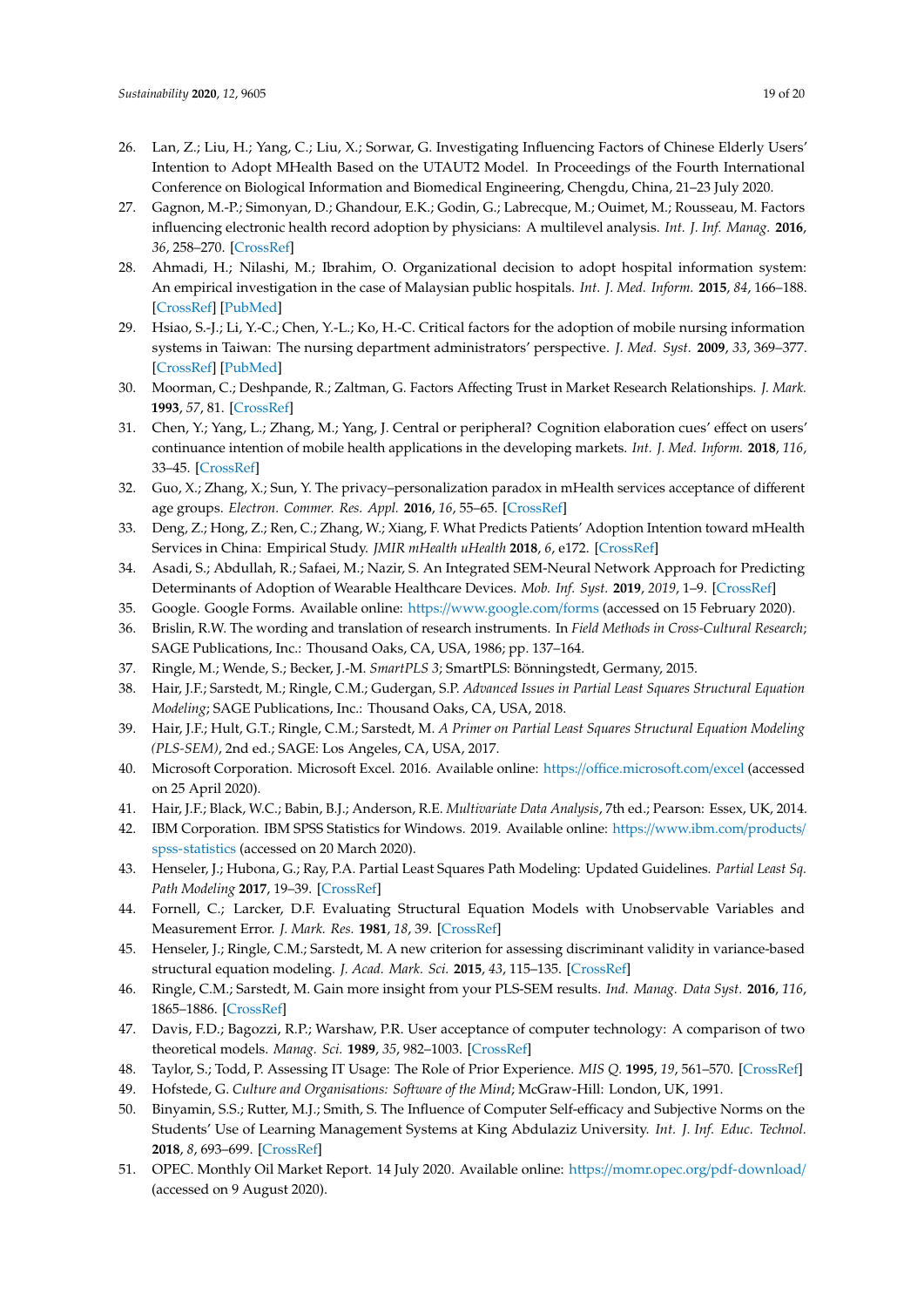- <span id="page-18-0"></span>26. Lan, Z.; Liu, H.; Yang, C.; Liu, X.; Sorwar, G. Investigating Influencing Factors of Chinese Elderly Users' Intention to Adopt MHealth Based on the UTAUT2 Model. In Proceedings of the Fourth International Conference on Biological Information and Biomedical Engineering, Chengdu, China, 21–23 July 2020.
- <span id="page-18-3"></span>27. Gagnon, M.-P.; Simonyan, D.; Ghandour, E.K.; Godin, G.; Labrecque, M.; Ouimet, M.; Rousseau, M. Factors influencing electronic health record adoption by physicians: A multilevel analysis. *Int. J. Inf. Manag.* **2016**, *36*, 258–270. [\[CrossRef\]](http://dx.doi.org/10.1016/j.ijinfomgt.2015.12.002)
- <span id="page-18-1"></span>28. Ahmadi, H.; Nilashi, M.; Ibrahim, O. Organizational decision to adopt hospital information system: An empirical investigation in the case of Malaysian public hospitals. *Int. J. Med. Inform.* **2015**, *84*, 166–188. [\[CrossRef\]](http://dx.doi.org/10.1016/j.ijmedinf.2014.12.004) [\[PubMed\]](http://www.ncbi.nlm.nih.gov/pubmed/25612792)
- <span id="page-18-2"></span>29. Hsiao, S.-J.; Li, Y.-C.; Chen, Y.-L.; Ko, H.-C. Critical factors for the adoption of mobile nursing information systems in Taiwan: The nursing department administrators' perspective. *J. Med. Syst.* **2009**, *33*, 369–377. [\[CrossRef\]](http://dx.doi.org/10.1007/s10916-008-9199-8) [\[PubMed\]](http://www.ncbi.nlm.nih.gov/pubmed/19827263)
- <span id="page-18-4"></span>30. Moorman, C.; Deshpande, R.; Zaltman, G. Factors Affecting Trust in Market Research Relationships. *J. Mark.* **1993**, *57*, 81. [\[CrossRef\]](http://dx.doi.org/10.1177/002224299305700106)
- <span id="page-18-5"></span>31. Chen, Y.; Yang, L.; Zhang, M.; Yang, J. Central or peripheral? Cognition elaboration cues' effect on users' continuance intention of mobile health applications in the developing markets. *Int. J. Med. Inform.* **2018**, *116*, 33–45. [\[CrossRef\]](http://dx.doi.org/10.1016/j.ijmedinf.2018.04.008)
- <span id="page-18-6"></span>32. Guo, X.; Zhang, X.; Sun, Y. The privacy–personalization paradox in mHealth services acceptance of different age groups. *Electron. Commer. Res. Appl.* **2016**, *16*, 55–65. [\[CrossRef\]](http://dx.doi.org/10.1016/j.elerap.2015.11.001)
- <span id="page-18-7"></span>33. Deng, Z.; Hong, Z.; Ren, C.; Zhang, W.; Xiang, F. What Predicts Patients' Adoption Intention toward mHealth Services in China: Empirical Study. *JMIR mHealth uHealth* **2018**, *6*, e172. [\[CrossRef\]](http://dx.doi.org/10.2196/mhealth.9316)
- <span id="page-18-8"></span>34. Asadi, S.; Abdullah, R.; Safaei, M.; Nazir, S. An Integrated SEM-Neural Network Approach for Predicting Determinants of Adoption of Wearable Healthcare Devices. *Mob. Inf. Syst.* **2019**, *2019*, 1–9. [\[CrossRef\]](http://dx.doi.org/10.1155/2019/8026042)
- <span id="page-18-9"></span>35. Google. Google Forms. Available online: https://[www.google.com](https://www.google.com/forms)/forms (accessed on 15 February 2020).
- <span id="page-18-10"></span>36. Brislin, R.W. The wording and translation of research instruments. In *Field Methods in Cross-Cultural Research*; SAGE Publications, Inc.: Thousand Oaks, CA, USA, 1986; pp. 137–164.
- <span id="page-18-11"></span>37. Ringle, M.; Wende, S.; Becker, J.-M. *SmartPLS 3*; SmartPLS: Bönningstedt, Germany, 2015.
- <span id="page-18-12"></span>38. Hair, J.F.; Sarstedt, M.; Ringle, C.M.; Gudergan, S.P. *Advanced Issues in Partial Least Squares Structural Equation Modeling*; SAGE Publications, Inc.: Thousand Oaks, CA, USA, 2018.
- <span id="page-18-13"></span>39. Hair, J.F.; Hult, G.T.; Ringle, C.M.; Sarstedt, M. *A Primer on Partial Least Squares Structural Equation Modeling (PLS-SEM)*, 2nd ed.; SAGE: Los Angeles, CA, USA, 2017.
- <span id="page-18-14"></span>40. Microsoft Corporation. Microsoft Excel. 2016. Available online: https://offi[ce.microsoft.com](https://office.microsoft.com/excel)/excel (accessed on 25 April 2020).
- <span id="page-18-15"></span>41. Hair, J.F.; Black, W.C.; Babin, B.J.; Anderson, R.E. *Multivariate Data Analysis*, 7th ed.; Pearson: Essex, UK, 2014.
- <span id="page-18-16"></span>42. IBM Corporation. IBM SPSS Statistics for Windows. 2019. Available online: https://[www.ibm.com](https://www.ibm.com/products/spss-statistics)/products/ [spss-statistics](https://www.ibm.com/products/spss-statistics) (accessed on 20 March 2020).
- <span id="page-18-17"></span>43. Henseler, J.; Hubona, G.; Ray, P.A. Partial Least Squares Path Modeling: Updated Guidelines. *Partial Least Sq. Path Modeling* **2017**, 19–39. [\[CrossRef\]](http://dx.doi.org/10.1007/978-3-319-64069-3_2)
- <span id="page-18-18"></span>44. Fornell, C.; Larcker, D.F. Evaluating Structural Equation Models with Unobservable Variables and Measurement Error. *J. Mark. Res.* **1981**, *18*, 39. [\[CrossRef\]](http://dx.doi.org/10.1177/002224378101800104)
- <span id="page-18-19"></span>45. Henseler, J.; Ringle, C.M.; Sarstedt, M. A new criterion for assessing discriminant validity in variance-based structural equation modeling. *J. Acad. Mark. Sci.* **2015**, *43*, 115–135. [\[CrossRef\]](http://dx.doi.org/10.1007/s11747-014-0403-8)
- <span id="page-18-20"></span>46. Ringle, C.M.; Sarstedt, M. Gain more insight from your PLS-SEM results. *Ind. Manag. Data Syst.* **2016**, *116*, 1865–1886. [\[CrossRef\]](http://dx.doi.org/10.1108/IMDS-10-2015-0449)
- <span id="page-18-21"></span>47. Davis, F.D.; Bagozzi, R.P.; Warshaw, P.R. User acceptance of computer technology: A comparison of two theoretical models. *Manag. Sci.* **1989**, *35*, 982–1003. [\[CrossRef\]](http://dx.doi.org/10.1287/mnsc.35.8.982)
- <span id="page-18-22"></span>48. Taylor, S.; Todd, P. Assessing IT Usage: The Role of Prior Experience. *MIS Q.* **1995**, *19*, 561–570. [\[CrossRef\]](http://dx.doi.org/10.2307/249633)
- <span id="page-18-23"></span>49. Hofstede, G. *Culture and Organisations: Software of the Mind*; McGraw-Hill: London, UK, 1991.
- <span id="page-18-24"></span>50. Binyamin, S.S.; Rutter, M.J.; Smith, S. The Influence of Computer Self-efficacy and Subjective Norms on the Students' Use of Learning Management Systems at King Abdulaziz University. *Int. J. Inf. Educ. Technol.* **2018**, *8*, 693–699. [\[CrossRef\]](http://dx.doi.org/10.18178/ijiet.2018.8.10.1124)
- <span id="page-18-25"></span>51. OPEC. Monthly Oil Market Report. 14 July 2020. Available online: https://[momr.opec.org](https://momr.opec.org/pdf-download/)/pdf-download/ (accessed on 9 August 2020).